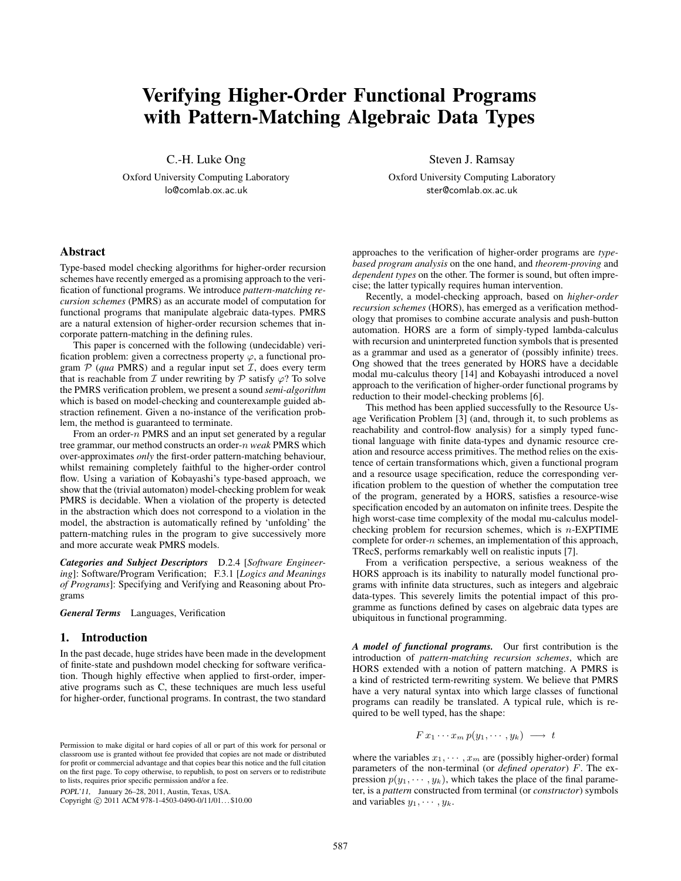# **Verifying Higher-Order Functional Programs with Pattern-Matching Algebraic Data Types**

C.-H. Luke Ong

Oxford University Computing Laboratory lo@comlab.ox.ac.uk

## **Abstract**

Type-based model checking algorithms for higher-order recursion schemes have recently emerged as a promising approach to the verification of functional programs. We introduce *pattern-matching recursion schemes* (PMRS) as an accurate model of computation for functional programs that manipulate algebraic data-types. PMRS are a natural extension of higher-order recursion schemes that incorporate pattern-matching in the defining rules.

This paper is concerned with the following (undecidable) verification problem: given a correctness property  $\varphi$ , a functional program  $\mathcal{P}$  (*qua* PMRS) and a regular input set  $\mathcal{I}$ , does every term that is reachable from  $\mathcal I$  under rewriting by  $\mathcal P$  satisfy  $\varphi$ ? To solve the PMRS verification problem, we present a sound *semi-algorithm* which is based on model-checking and counterexample guided abstraction refinement. Given a no-instance of the verification problem, the method is guaranteed to terminate.

From an order- $n$  PMRS and an input set generated by a regular tree grammar, our method constructs an order-n *weak* PMRS which over-approximates *only* the first-order pattern-matching behaviour, whilst remaining completely faithful to the higher-order control flow. Using a variation of Kobayashi's type-based approach, we show that the (trivial automaton) model-checking problem for weak PMRS is decidable. When a violation of the property is detected in the abstraction which does not correspond to a violation in the model, the abstraction is automatically refined by 'unfolding' the pattern-matching rules in the program to give successively more and more accurate weak PMRS models.

*Categories and Subject Descriptors* D.2.4 [*Software Engineering*]: Software/Program Verification; F.3.1 [*Logics and Meanings of Programs*]: Specifying and Verifying and Reasoning about Programs

*General Terms* Languages, Verification

## **1. Introduction**

In the past decade, huge strides have been made in the development of finite-state and pushdown model checking for software verification. Though highly effective when applied to first-order, imperative programs such as C, these techniques are much less useful for higher-order, functional programs. In contrast, the two standard

POPL'11, January 26–28, 2011, Austin, Texas, USA.

Copyright © 2011 ACM 978-1-4503-0490-0/11/01...\$10.00

Steven J. Ramsay

Oxford University Computing Laboratory ster@comlab.ox.ac.uk

approaches to the verification of higher-order programs are *typebased program analysis* on the one hand, and *theorem-proving* and *dependent types* on the other. The former is sound, but often imprecise; the latter typically requires human intervention.

Recently, a model-checking approach, based on *higher-order recursion schemes* (HORS), has emerged as a verification methodology that promises to combine accurate analysis and push-button automation. HORS are a form of simply-typed lambda-calculus with recursion and uninterpreted function symbols that is presented as a grammar and used as a generator of (possibly infinite) trees. Ong showed that the trees generated by HORS have a decidable modal mu-calculus theory [14] and Kobayashi introduced a novel approach to the verification of higher-order functional programs by reduction to their model-checking problems [6].

This method has been applied successfully to the Resource Usage Verification Problem [3] (and, through it, to such problems as reachability and control-flow analysis) for a simply typed functional language with finite data-types and dynamic resource creation and resource access primitives. The method relies on the existence of certain transformations which, given a functional program and a resource usage specification, reduce the corresponding verification problem to the question of whether the computation tree of the program, generated by a HORS, satisfies a resource-wise specification encoded by an automaton on infinite trees. Despite the high worst-case time complexity of the modal mu-calculus modelchecking problem for recursion schemes, which is  $n$ -EXPTIME complete for order- $n$  schemes, an implementation of this approach, TRecS, performs remarkably well on realistic inputs [7].

From a verification perspective, a serious weakness of the HORS approach is its inability to naturally model functional programs with infinite data structures, such as integers and algebraic data-types. This severely limits the potential impact of this programme as functions defined by cases on algebraic data types are ubiquitous in functional programming.

*A model of functional programs.* Our first contribution is the introduction of *pattern-matching recursion schemes*, which are HORS extended with a notion of pattern matching. A PMRS is a kind of restricted term-rewriting system. We believe that PMRS have a very natural syntax into which large classes of functional programs can readily be translated. A typical rule, which is required to be well typed, has the shape:

 $F x_1 \cdots x_m p(y_1, \cdots, y_k) \longrightarrow t$ 

where the variables  $x_1, \dots, x_m$  are (possibly higher-order) formal parameters of the non-terminal (or *defined operator*) F. The expression  $p(y_1, \dots, y_k)$ , which takes the place of the final parameter, is a *pattern* constructed from terminal (or *constructor*) symbols and variables  $y_1, \cdots, y_k$ .

Permission to make digital or hard copies of all or part of this work for personal or classroom use is granted without fee provided that copies are not made or distributed for profit or commercial advantage and that copies bear this notice and the full citation on the first page. To copy otherwise, to republish, to post on servers or to redistribute to lists, requires prior specific permission and/or a fee.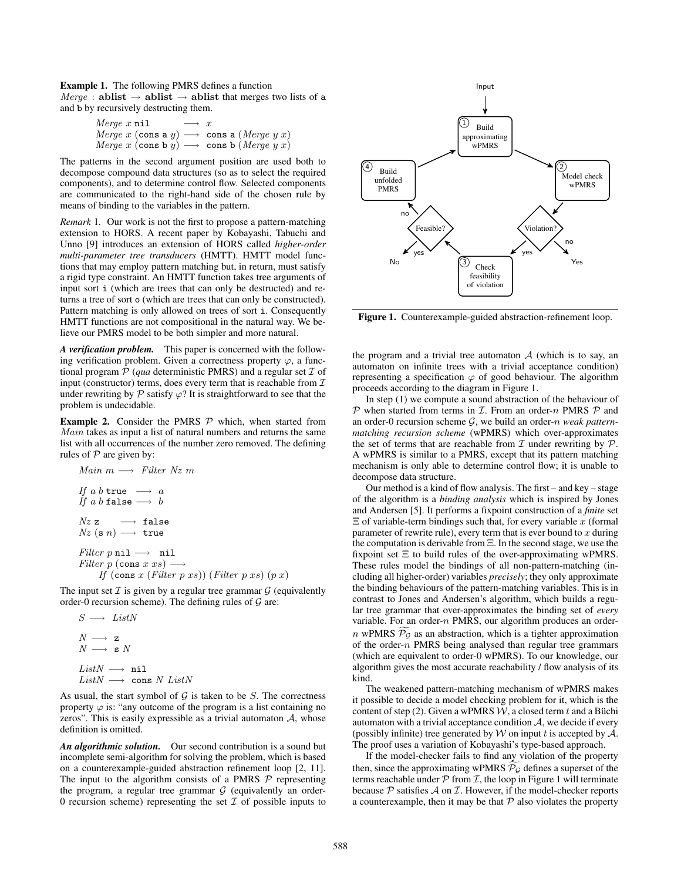**Example 1.** The following PMRS defines a function  $Merge:$  **ablist**  $\rightarrow$  **ablist**  $\rightarrow$  **ablist** that merges two lists of **a** and b by recursively destructing them.

$$
Merge x \text{ nil} \longrightarrow x
$$
  

$$
Merge x (\text{cons } y) \longrightarrow \text{cons } a (Merge y x)
$$
  

$$
Merge x (\text{cons } b y) \longrightarrow \text{cons } b (Merge y x)
$$

*Merge*  $x$  (cons b  $y$ )  $\longrightarrow$  cons b (*Merge*  $y$   $x$ )<br>The patterns in the second argument position are used both to decompose compound data structures (so as to select the required components), and to determine control flow. Selected components are communicated to the right-hand side of the chosen rule by means of binding to the variables in the pattern.

*Remark* 1*.* Our work is not the first to propose a pattern-matching extension to HORS. A recent paper by Kobayashi, Tabuchi and Unno [9] introduces an extension of HORS called *higher-order multi-parameter tree transducers* (HMTT). HMTT model functions that may employ pattern matching but, in return, must satisfy a rigid type constraint. An HMTT function takes tree arguments of input sort i (which are trees that can only be destructed) and returns a tree of sort o (which are trees that can only be constructed). Pattern matching is only allowed on trees of sort i. Consequently HMTT functions are not compositional in the natural way. We believe our PMRS model to be both simpler and more natural.

*A verification problem.* This paper is concerned with the following verification problem. Given a correctness property  $\varphi$ , a functional program  $P$  (*qua* deterministic PMRS) and a regular set  $I$  of input (constructor) terms, does every term that is reachable from  $\mathcal I$ under rewriting by  $\mathcal P$  satisfy  $\varphi$ ? It is straightforward to see that the problem is undecidable.

**Example 2.** Consider the PMRS  $P$  which, when started from *Main* takes as input a list of natural numbers and returns the same list with all occurrences of the number zero removed. The defining rules of  $P$  are given by:

$$
Main m \longrightarrow Filter Nz m
$$
\n
$$
If a b true \longrightarrow a
$$
\n
$$
If a b false \longrightarrow b
$$
\n
$$
Nz z \longrightarrow false
$$
\n
$$
Nz (s n) \longrightarrow true
$$
\n
$$
Filter p nil \longrightarrow nil
$$
\n
$$
Filter p (cons x xs) \longrightarrow
$$
\n
$$
If (cons x (Filter p xs)) (Filter p xs)
$$

*If*  $(\text{cons } x \text{ (Filter } p \text{ xs})) \text{ (Filter } p \text{ xs)} (p \text{ x})$ <br>The input set  $\mathcal I$  is given by a regular tree grammar  $\mathcal G$  (equivalently order-0 recursion scheme). The defining rules of  $G$  are:

$$
S \longrightarrow ListN
$$
  
\n
$$
N \longrightarrow z
$$
  
\n
$$
N \longrightarrow s N
$$
  
\n
$$
ListN \longrightarrow nil
$$
  
\n
$$
ListN \longrightarrow cons N Listi
$$

 $ListN \longrightarrow \text{cons } N \text{ } ListN$ <br>As usual, the start symbol of G is taken to be S. The correctness property  $\varphi$  is: "any outcome of the program is a list containing no zeros". This is easily expressible as a trivial automaton  $A$ , whose definition is omitted.

*An algorithmic solution.* Our second contribution is a sound but incomplete semi-algorithm for solving the problem, which is based on a counterexample-guided abstraction refinement loop [2, 11]. The input to the algorithm consists of a PMRS  $P$  representing the program, a regular tree grammar  $G$  (equivalently an order-0 recursion scheme) representing the set  $\mathcal I$  of possible inputs to



**Figure 1.** Counterexample-guided abstraction-refinement loop.

the program and a trivial tree automaton  $A$  (which is to say, an automaton on infinite trees with a trivial acceptance condition) representing a specification  $\varphi$  of good behaviour. The algorithm proceeds according to the diagram in Figure 1.

In step (1) we compute a sound abstraction of the behaviour of  $P$  when started from terms in  $I$ . From an order-n PMRS  $P$  and an order-0 recursion scheme G, we build an order-n *weak patternmatching recursion scheme* (wPMRS) which over-approximates the set of terms that are reachable from  $\mathcal I$  under rewriting by  $\mathcal P$ . A wPMRS is similar to a PMRS, except that its pattern matching mechanism is only able to determine control flow; it is unable to decompose data structure.

Our method is a kind of flow analysis. The first – and key – stage of the algorithm is a *binding analysis* which is inspired by Jones and Andersen [5]. It performs a fixpoint construction of a *finite* set  $\Xi$  of variable-term bindings such that, for every variable x (formal parameter of rewrite rule), every term that is ever bound to  $x$  during the computation is derivable from Ξ. In the second stage, we use the fixpoint set  $\Xi$  to build rules of the over-approximating wPMRS. These rules model the bindings of all non-pattern-matching (including all higher-order) variables *precisely*; they only approximate the binding behaviours of the pattern-matching variables. This is in contrast to Jones and Andersen's algorithm, which builds a regular tree grammar that over-approximates the binding set of *every* variable. For an order- $n$  PMRS, our algorithm produces an order $n$  wPMRS  $P_g$  as an abstraction, which is a tighter approximation of the order- $n$  PMRS being analysed than regular tree grammars (which are equivalent to order-0 wPMRS). To our knowledge, our algorithm gives the most accurate reachability / flow analysis of its kind.

The weakened pattern-matching mechanism of wPMRS makes it possible to decide a model checking problem for it, which is the content of step (2). Given a wPMRS  $W$ , a closed term t and a Büchi automaton with a trivial acceptance condition  $A$ , we decide if every (possibly infinite) tree generated by  $W$  on input t is accepted by  $A$ . The proof uses a variation of Kobayashi's type-based approach.

If the model-checker fails to find any violation of the property then, since the approximating wPMRS  $P_G$  defines a superset of the terms reachable under  $P$  from  $I$ , the loop in Figure 1 will terminate because  $P$  satisfies  $\mathcal A$  on  $\mathcal I$ . However, if the model-checker reports a counterexample, then it may be that  $P$  also violates the property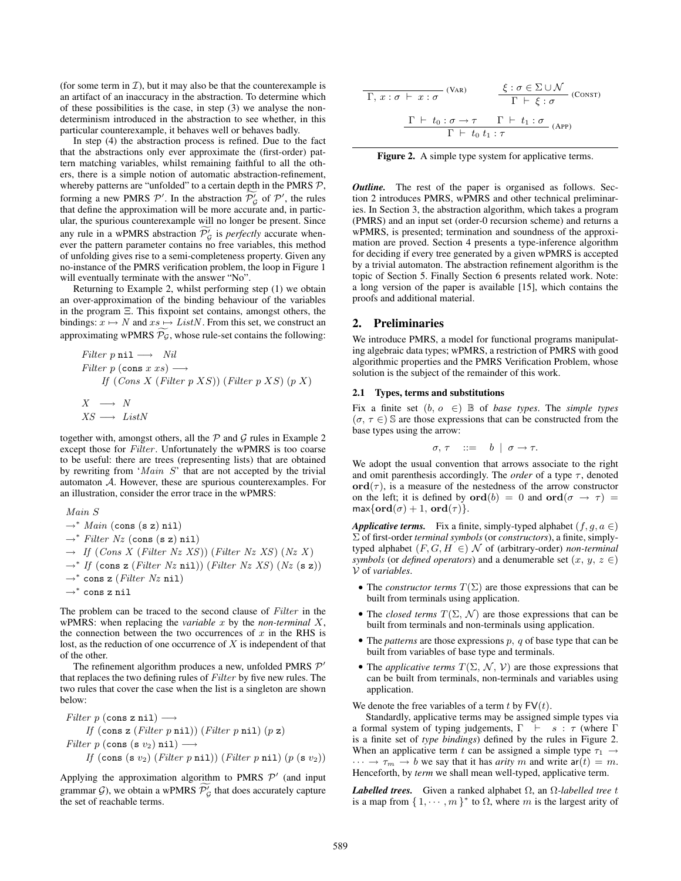(for some term in  $\mathcal{I}$ ), but it may also be that the counterexample is an artifact of an inaccuracy in the abstraction. To determine which of these possibilities is the case, in step (3) we analyse the nondeterminism introduced in the abstraction to see whether, in this particular counterexample, it behaves well or behaves badly.

In step (4) the abstraction process is refined. Due to the fact that the abstractions only ever approximate the (first-order) pattern matching variables, whilst remaining faithful to all the others, there is a simple notion of automatic abstraction-refinement, whereby patterns are "unfolded" to a certain depth in the PMRS  $P$ , forming a new PMRS  $\mathcal{P}'$ . In the abstraction  $\mathcal{P}'_{\mathcal{G}}$  of  $\mathcal{P}'$ , the rules that define the approximation will be more accurate and, in particular, the spurious counterexample will no longer be present. Since any rule in a wPMRS abstraction  $\mathcal{P}'_{\mathcal{G}}$  is *perfectly* accurate whenever the pattern parameter contains no free variables, this method of unfolding gives rise to a semi-completeness property. Given any no-instance of the PMRS verification problem, the loop in Figure 1 will eventually terminate with the answer "No".

Returning to Example 2, whilst performing step (1) we obtain an over-approximation of the binding behaviour of the variables in the program Ξ. This fixpoint set contains, amongst others, the bindings:  $x \mapsto N$  and  $xs \mapsto ListN$ . From this set, we construct an approximating wPMRS  $P_g$ , whose rule-set contains the following:

Filter p nil 
$$
\longrightarrow
$$
 Nil  
\nFilter p (cons x xs)  $\longrightarrow$   
\nIf (Cons X (Filter p XS)) (Filter p XS) (p X)  
\n $X \longrightarrow N$   
\n $XS \longrightarrow ListN$ 

together with, amongst others, all the  $P$  and  $G$  rules in Example 2 except those for *Filter*. Unfortunately the wPMRS is too coarse to be useful: there are trees (representing lists) that are obtained by rewriting from '*Main* <sup>S</sup>' that are not accepted by the trivial automaton A. However, these are spurious counterexamples. For an illustration, consider the error trace in the wPMRS:

$$
Main S\n\rightarrow^* Main (cons (s z) nil)\n\rightarrow^* Filter Nz (cons (s z) nil)\n\rightarrow If (Cons X (Filter Nz XS)) (Filter Nz XS) (Nz X)\n\rightarrow^* If (cons z (Filter Nz nil)) (Filter Nz XS) (Nz (s z))\n\rightarrow^* cons z (Filter Nz nil)\n\rightarrow^* cons z nil
$$

The problem can be traced to the second clause of *Filter* in the wPMRS: when replacing the *variable* x by the *non-terminal* X, the connection between the two occurrences of  $x$  in the RHS is lost, as the reduction of one occurrence of  $X$  is independent of that of the other.

The refinement algorithm produces a new, unfolded PMRS  $\mathcal{P}'$ that replaces the two defining rules of *Filter* by five new rules. The two rules that cover the case when the list is a singleton are shown below:

\nFilter 
$$
p
$$
 (cons  $z$  nil)  $\longrightarrow$   
\nIf (cons  $z$  (Filter  $p$  nil)) (Filter  $p$  nil) ( $p$  z)  
\nFilter  $p$  (cons  $(s \, v_2)$  nil)  $\longrightarrow$   
\nIf (cons  $(s \, v_2)$  (Filter  $p$  nil)) (Filter  $p$  nil) ( $p$  ( $s \, v_2$ ))\n

Applying the approximation algorithm to PMRS  $\mathcal{P}'$  (and input grammar  $G$ ), we obtain a wPMRS  $\mathcal{P}'_G$  that does accurately capture the set of reachable terms.

$$
\frac{\zeta : \sigma \in \Sigma \cup \mathcal{N}}{\Gamma, x : \sigma \vdash x : \sigma} \quad (\text{VAR}) \quad \frac{\xi : \sigma \in \Sigma \cup \mathcal{N}}{\Gamma \vdash \xi : \sigma} \quad (\text{Constr})
$$
\n
$$
\frac{\Gamma \vdash t_0 : \sigma \to \tau \quad \Gamma \vdash t_1 : \sigma}{\Gamma \vdash t_0 t_1 : \tau} \quad (\text{APP})
$$

Figure 2. A simple type system for applicative terms.

*Outline.* The rest of the paper is organised as follows. Section 2 introduces PMRS, wPMRS and other technical preliminaries. In Section 3, the abstraction algorithm, which takes a program (PMRS) and an input set (order-0 recursion scheme) and returns a wPMRS, is presented; termination and soundness of the approximation are proved. Section 4 presents a type-inference algorithm for deciding if every tree generated by a given wPMRS is accepted by a trivial automaton. The abstraction refinement algorithm is the topic of Section 5. Finally Section 6 presents related work. Note: a long version of the paper is available [15], which contains the proofs and additional material.

## **2. Preliminaries**

We introduce PMRS, a model for functional programs manipulating algebraic data types; wPMRS, a restriction of PMRS with good algorithmic properties and the PMRS Verification Problem, whose solution is the subject of the remainder of this work.

#### **2.1 Types, terms and substitutions**

Fix a finite set  $(b, o \in) \mathbb{B}$  of *base types*. The *simple types*  $(\sigma, \tau \in)$  S are those expressions that can be constructed from the base types using the arrow:

$$
\sigma, \tau \quad ::= \quad b \mid \sigma \to \tau.
$$

We adopt the usual convention that arrows associate to the right and omit parenthesis accordingly. The *order* of a type  $\tau$ , denoted  $\mathbf{ord}(\tau)$ , is a measure of the nestedness of the arrow constructor on the left; it is defined by **ord** $(b) = 0$  and **ord** $(\sigma \rightarrow \tau) =$  $max{ord(\sigma) + 1, ord(\tau)}.$ 

*Applicative terms.* Fix a finite, simply-typed alphabet  $(f, g, a \in)$ Σ of first-order *terminal symbols* (or *constructors*), a finite, simplytyped alphabet  $(F, G, H \in)$  N of (arbitrary-order) *non-terminal symbols* (or *defined operators*) and a denumerable set  $(x, y, z \in)$ V of *variables*.

- The *constructor terms*  $T(\Sigma)$  are those expressions that can be built from terminals using application.
- The *closed terms*  $T(\Sigma, \mathcal{N})$  are those expressions that can be built from terminals and non-terminals using application.
- The *patterns* are those expressions  $p$ ,  $q$  of base type that can be built from variables of base type and terminals.
- The *applicative terms*  $T(\Sigma, \mathcal{N}, \mathcal{V})$  are those expressions that can be built from terminals, non-terminals and variables using application.

We denote the free variables of a term t by  $FV(t)$ .

Standardly, applicative terms may be assigned simple types via a formal system of typing judgements,  $\Gamma$   $\vdash$  s :  $\tau$  (where  $\Gamma$ is a finite set of *type bindings*) defined by the rules in Figure 2. When an applicative term t can be assigned a simple type  $\tau_1 \rightarrow$  $\cdots \rightarrow \tau_m \rightarrow b$  we say that it has *arity* m and write  $ar(t) = m$ . Henceforth, by *term* we shall mean well-typed, applicative term.

*Labelled trees.* Given a ranked alphabet  $\Omega$ , an  $\Omega$ -labelled tree t is a map from  $\{1, \dots, m\}^*$  to  $\Omega$ , where m is the largest arity of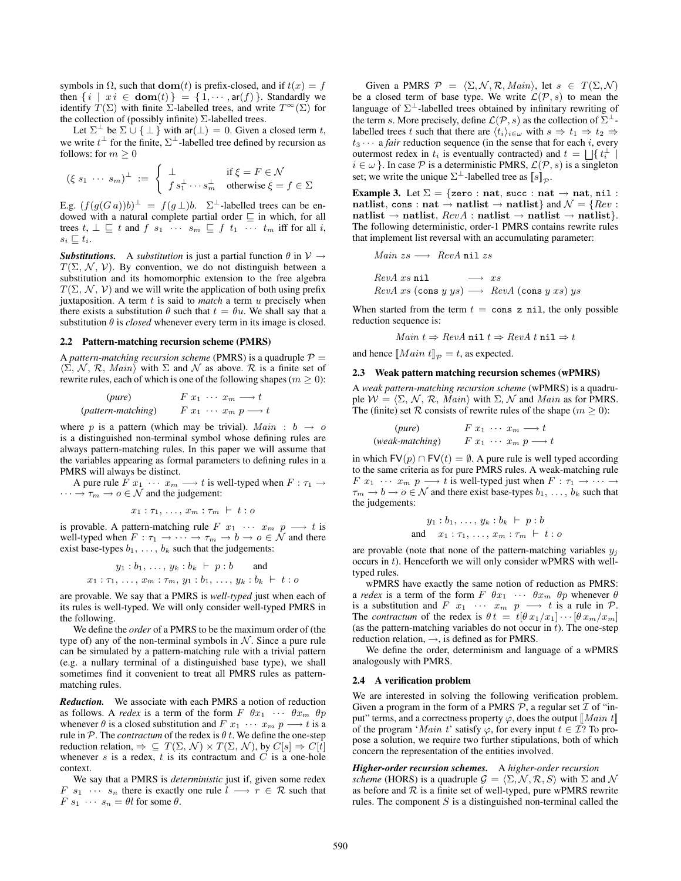symbols in  $\Omega$ , such that **dom**(t) is prefix-closed, and if  $t(x) = f$ then  $\{i \mid xi \in \textbf{dom}(t)\} = \{1, \cdots, \textbf{ar}(f)\}\$ . Standardly we identify  $T(\Sigma)$  with finite  $\Sigma$ -labelled trees, and write  $T^{\infty}(\Sigma)$  for the collection of (possibly infinite)  $\Sigma$ -labelled trees.

Let  $\Sigma^{\perp}$  be  $\Sigma \cup {\perp}$  with ar( $\perp$ ) = 0. Given a closed term t, we write  $t^{\perp}$  for the finite,  $\Sigma^{\perp}$ -labelled tree defined by recursion as follows: for  $m \geq 0$ 

$$
(\xi s_1 \cdots s_m)^{\perp} := \begin{cases} \perp & \text{if } \xi = F \in \mathcal{N} \\ f s_1^{\perp} \cdots s_m^{\perp} & \text{otherwise } \xi = f \in \Sigma \end{cases}
$$

E.g.  $(f(g(G a))b)^{\perp} = f(g \perp)b$ .  $\Sigma^{\perp}$ -labelled trees can be endowed with a natural complete partial order  $\sqsubseteq$  in which, for all trees  $t, \perp \sqsubseteq t$  and  $f \ s_1 \ \cdots \ s_m \sqsubseteq f \ t_1 \ \cdots \ t_m$  iff for all i,  $s_i \sqsubseteq t_i$ .

**Substitutions.** A *substitution* is just a partial function  $\theta$  in  $V \rightarrow$  $T(\Sigma, \mathcal{N}, \mathcal{V})$ . By convention, we do not distinguish between a substitution and its homomorphic extension to the free algebra  $T(\Sigma, \mathcal{N}, \mathcal{V})$  and we will write the application of both using prefix juxtaposition. A term  $t$  is said to *match* a term  $u$  precisely when there exists a substitution  $\theta$  such that  $t = \theta u$ . We shall say that a substitution  $\theta$  is *closed* whenever every term in its image is closed.

#### **2.2 Pattern-matching recursion scheme (PMRS)**

A *pattern-matching recursion scheme* (PMRS) is a quadruple  $P =$  $\langle \Sigma, \mathcal{N}, \mathcal{R}, \text{Main} \rangle$  with  $\Sigma$  and  $\mathcal N$  as above.  $\mathcal R$  is a finite set of rewrite rules each of which is one of the following shapes  $(m \ge 0)$ rewrite rules, each of which is one of the following shapes ( $m \ge 0$ ):

$$
\begin{array}{ll}\n & \text{(pure)} & F \ x_1 \ \cdots \ x_m \longrightarrow t \\
 & \text{(pattern-matching)} & F \ x_1 \ \cdots \ x_m \ p \longrightarrow t\n\end{array}
$$

where p is a pattern (which may be trivial).  $Main : b \rightarrow o$ is a distinguished non-terminal symbol whose defining rules are always pattern-matching rules. In this paper we will assume that the variables appearing as formal parameters to defining rules in a PMRS will always be distinct.

A pure rule  $\overline{F} x_1 \cdots x_m \longrightarrow t$  is well-typed when  $F : \tau_1 \longrightarrow$  $\cdots \rightarrow \tau_m \rightarrow o \in \mathcal{N}$  and the judgement:

$$
x_1 : \tau_1,\,\ldots,\,x_m : \tau_m \;\vdash\; t : o
$$

is provable. A pattern-matching rule  $F \ x_1 \ \cdots \ x_m \ p \longrightarrow t$  is well-typed when  $F : \tau_1 \to \cdots \to \tau_m \to b \to o \in \mathcal{N}$  and there exist base-types  $b_1, \ldots, b_k$  such that the judgements:

$$
y_1 : b_1, ..., y_k : b_k \vdash p : b
$$
 and  
 $x_1 : \tau_1, ..., x_m : \tau_m, y_1 : b_1, ..., y_k : b_k \vdash t : o$ 

are provable. We say that a PMRS is *well-typed* just when each of its rules is well-typed. We will only consider well-typed PMRS in the following.

We define the *order* of a PMRS to be the maximum order of (the type of) any of the non-terminal symbols in  $N$ . Since a pure rule can be simulated by a pattern-matching rule with a trivial pattern (e.g. a nullary terminal of a distinguished base type), we shall sometimes find it convenient to treat all PMRS rules as patternmatching rules.

*Reduction.* We associate with each PMRS a notion of reduction as follows. A *redex* is a term of the form  $F \theta x_1 \cdots \theta x_m \theta p$ whenever  $\theta$  is a closed substitution and  $F x_1 \cdots x_m p \longrightarrow t$  is a rule in  $P$ . The *contractum* of the redex is  $\theta$  t. We define the one-step reduction relation,  $\Rightarrow \subseteq T(\Sigma, \mathcal{N}) \times T(\Sigma, \mathcal{N})$ , by  $C[s] \Rightarrow C[t]$ whenever s is a redex, t is its contractum and  $C$  is a one-hole context.

We say that a PMRS is *deterministic* just if, given some redex  $F$   $s_1$   $\cdots$   $s_n$  there is exactly one rule  $l \rightarrow r \in \mathcal{R}$  such that  $F s_1 \cdots s_n = \theta l$  for some  $\theta$ .

Given a PMRS  $\mathcal{P} = \langle \Sigma, \mathcal{N}, \mathcal{R}, \text{Main} \rangle$ , let  $s \in T(\Sigma, \mathcal{N})$ <br>a closed term of base type. We write  $\mathcal{L}(\mathcal{P} | s)$  to mean the be a closed term of base type. We write  $\mathcal{L}(\mathcal{P}, s)$  to mean the language of  $\Sigma^{\perp}$ -labelled trees obtained by infinitary rewriting of the term s. More precisely, define  $\mathcal{L}(\mathcal{P}, s)$  as the collection of  $\Sigma^{\perp}$ . labelled trees t such that there are  $\langle t_i \rangle_{i \in \omega}$  with  $s \Rightarrow t_1 \Rightarrow t_2 \Rightarrow$  $t_3 \cdots$  a *fair* reduction sequence (in the sense that for each *i*, every outermost redex in  $t_i$  is eventually contracted) and  $t = \bigsqcup \{ t_i^{\perp} \mid$  $i \in \omega$  }. In case  $P$  is a deterministic PMRS,  $\mathcal{L}(P, s)$  is a singleton set; we write the unique  $\Sigma^{\perp}$ -labelled tree as  $\llbracket s \rrbracket_{\mathcal{D}}$ .

**Example 3.** Let  $\Sigma = \{ {\sf zero} : {\sf nat}, {\sf succ} : {\sf nat} \to {\sf nat}, {\sf nil} :$ **natlist**, cons : **nat**  $\rightarrow$  **natlist**  $\rightarrow$  **natlist**} and  $\mathcal{N} = \{Rev :$  $\mathbf{n}$ **atlist**  $\rightarrow$  **natlist**,  $RevA : \mathbf{n}$ **atlist**  $\rightarrow$  **natlist**}. The following deterministic, order-1 PMRS contains rewrite rules that implement list reversal with an accumulating parameter:

$$
Main zs \longrightarrow RevA \text{ nil } zs
$$
  
RevA xs nil  $\longrightarrow xs$   
RevA xs (cons y ys)  $\longrightarrow$  RevA (cons y xs) ys

When started from the term  $t = \cos z$  nil, the only possible reduction sequence is:

$$
Main \ t \Rightarrow RevA \ \mathtt{nil} \ t \Rightarrow RevA \ t \ \mathtt{nil} \Rightarrow t
$$

and hence  $[Main t]_p = t$ , as expected.

## **2.3 Weak pattern matching recursion schemes (wPMRS)**

A *weak pattern-matching recursion scheme* (wPMRS) is a quadruple  $W = \langle \Sigma, \mathcal{N}, \mathcal{R}, \text{Main} \rangle$  with  $\Sigma, \mathcal{N}$  and *Main* as for PMRS.<br>The (finite) set  $\mathcal{R}$  consists of rewrite rules of the shane ( $m > 0$ ). The (finite) set  $R$  consists of rewrite rules of the shape ( $m \ge 0$ ):

$$
\begin{array}{ll}\n & \text{(pure)} & F \ x_1 \ \cdots \ x_m \longrightarrow t \\
(\text{weak-matching}) & F \ x_1 \ \cdots \ x_m \ p \longrightarrow t\n\end{array}
$$

in which  $FV(p) \cap FV(t) = \emptyset$ . A pure rule is well typed according to the same criteria as for pure PMRS rules. A weak-matching rule  $F x_1 \cdots x_m p \longrightarrow t$  is well-typed just when  $F : \tau_1 \longrightarrow \cdots \longrightarrow$  $\tau_m \to b \to o \in \mathcal{N}$  and there exist base-types  $b_1, \ldots, b_k$  such that the judgements:

$$
y_1 : b_1, \ldots, y_k : b_k \vdash p : b
$$
  
and 
$$
x_1 : \tau_1, \ldots, x_m : \tau_m \vdash t : o
$$

are provable (note that none of the pattern-matching variables  $y_j$ occurs in t). Henceforth we will only consider wPMRS with welltyped rules.

wPMRS have exactly the same notion of reduction as PMRS: a *redex* is a term of the form  $F \theta x_1 \cdots \theta x_m \theta p$  whenever  $\theta$ is a substitution and F  $x_1 \cdots x_m$  p  $\longrightarrow$  t is a rule in P. The *contractum* of the redex is  $\theta t = t [\theta x_1/x_1] \cdots [\theta x_m/x_m]$ (as the pattern-matching variables do not occur in  $t$ ). The one-step reduction relation,  $\rightarrow$ , is defined as for PMRS.

We define the order, determinism and language of a wPMRS analogously with PMRS.

#### **2.4 A verification problem**

We are interested in solving the following verification problem. Given a program in the form of a PMRS  $P$ , a regular set  $\mathcal I$  of "input" terms, and a correctness property  $\varphi$ , does the output  $\|Main t\|$ of the program '*Main* t' satisfy  $\varphi$ , for every input  $t \in \mathcal{I}$ ? To propose a solution, we require two further stipulations, both of which concern the representation of the entities involved.

*Higher-order recursion schemes.* A *higher-order recursion scheme* (HORS) is a quadruple  $\mathcal{G} = \langle \Sigma, \mathcal{N}, \mathcal{R}, S \rangle$  with  $\Sigma$  and  $\mathcal{N}$ as before and  $R$  is a finite set of well-typed, pure wPMRS rewrite rules. The component  $S$  is a distinguished non-terminal called the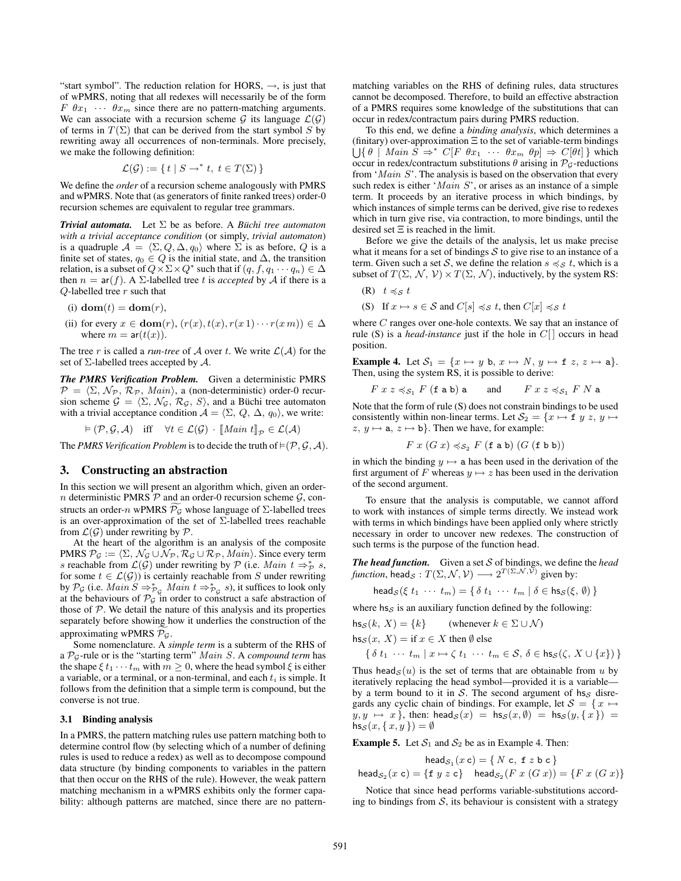"start symbol". The reduction relation for HORS,  $\rightarrow$ , is just that of wPMRS, noting that all redexes will necessarily be of the form  $F \theta x_1 \cdots \theta x_m$  since there are no pattern-matching arguments. We can associate with a recursion scheme G its language  $\mathcal{L}(\mathcal{G})$ of terms in  $T(\Sigma)$  that can be derived from the start symbol S by rewriting away all occurrences of non-terminals. More precisely, we make the following definition:

$$
\mathcal{L}(\mathcal{G}) := \{ t \mid S \to^* t, t \in T(\Sigma) \}
$$

We define the *order* of a recursion scheme analogously with PMRS and wPMRS. Note that (as generators of finite ranked trees) order-0 recursion schemes are equivalent to regular tree grammars.

*Trivial automata.* Let  $\Sigma$  be as before. A *Büchi tree automaton with a trivial acceptance condition* (or simply, *trivial automaton*) is a quadruple  $\mathcal{A} = \langle \Sigma, Q, \Delta, q_0 \rangle$  where  $\Sigma$  is as before,  $Q$  is a finite set of states,  $q_0 \in Q$  is the initial state, and  $\Delta$ , the transition relation, is a subset of  $Q \times \Sigma \times Q^*$  such that if  $(q, f, q_1 \cdots q_n) \in \Delta$ then  $n = ar(f)$ . A  $\Sigma$ -labelled tree t is *accepted* by A if there is a  $Q$ -labelled tree  $r$  such that

- (i)  $\textbf{dom}(t) = \textbf{dom}(r)$ ,
- (ii) for every  $x \in \text{dom}(r)$ ,  $(r(x), t(x), r(x 1) \cdots r(x m)) \in \Delta$ where  $m = ar(t(x))$ .

The tree r is called a *run-tree* of A over t. We write  $\mathcal{L}(\mathcal{A})$  for the set of  $\Sigma$ -labelled trees accepted by  $\mathcal{A}$ .

*The PMRS Verification Problem.* Given a deterministic PMRS  $\mathcal{P} = \langle \Sigma, \mathcal{N}_{\mathcal{P}}, \mathcal{R}_{\mathcal{P}}, \text{Main} \rangle$ , a (non-deterministic) order-0 recur-<br>sion scheme  $G = \langle \Sigma, \mathcal{N}_{\mathcal{C}}, \mathcal{R}_{\mathcal{C}}, \mathcal{S} \rangle$  and a Büchi tree automaton sion scheme  $\mathcal{G} = \langle \Sigma, \mathcal{N}_{\mathcal{G}}, \mathcal{R}_{\mathcal{G}}, \mathcal{S} \rangle$ , and a Büchi tree automaton with a trivial acceptance condition  $A - \langle \Sigma, O \rangle \wedge \langle \mathcal{G} \rangle$  we write: with a trivial acceptance condition  $A = \langle \Sigma, Q, \Delta, q_0 \rangle$ , we write:

$$
\vDash (\mathcal{P}, \mathcal{G}, \mathcal{A}) \quad \text{iff} \quad \forall t \in \mathcal{L}(\mathcal{G}) \cdot [\![Main \; t]\!]_{\mathcal{P}} \in \mathcal{L}(\mathcal{A})
$$

The *PMRS Verification Problem* is to decide the truth of  $\models$   $(P, G, A)$ .

## **3. Constructing an abstraction**

In this section we will present an algorithm which, given an ordern deterministic PMRS  $\overline{P}$  and an order-0 recursion scheme  $\mathcal{G}$ , constructs an order-n wPMRS  $\mathcal{P}_{\mathcal{G}}$  whose language of  $\Sigma$ -labelled trees is an over-approximation of the set of Σ-labelled trees reachable from  $\mathcal{L}(\mathcal{G})$  under rewriting by  $\mathcal{P}$ .

At the heart of the algorithm is an analysis of the composite PMRS  $P_G := \langle \Sigma, \mathcal{N}_G \cup \mathcal{N}_{\mathcal{P}}, \mathcal{R}_G \cup \mathcal{R}_{\mathcal{P}}, \text{Main} \rangle$ . Since every term s reachable from  $\mathcal{L}(G)$  under rewriting by  $\mathcal{P}$  (i.e. *Main*  $t \Rightarrow_{\mathcal{P}}^*$  s s reachable from  $\mathcal{L}(\mathcal{G})$  under rewriting by  $\mathcal{P}$  (i.e. *Main*  $t \Rightarrow_{\mathcal{P}}^* s$ , for some  $t \in \mathcal{L}(\mathcal{G})$ ) is certainly reachable from S under rewriting for some  $t \in \mathcal{L}(\mathcal{G})$  is certainly reachable from S under rewriting by  $\mathcal{P}_{\mathcal{G}}$  (i.e. *Main*  $S \Rightarrow_{\mathcal{P}_{\mathcal{G}}}^* M \text{ain } t \Rightarrow_{\mathcal{P}_{\mathcal{G}}}^* s$ ), it suffices to look only at the behaviours of  $\mathcal{P}_{\mathcal{G}}$  in order to construct a safe abstraction of at the behaviours of  $\mathcal{P}_{\mathcal{G}}$  in order to construct a safe abstraction of those of  $P$ . We detail the nature of this analysis and its properties separately before showing how it underlies the construction of the approximating wPMRS  $P_g$ .

Some nomenclature. A *simple term* is a subterm of the RHS of <sup>a</sup> <sup>P</sup>G-rule or is the "starting term" *Main S*. A *compound term* has the shape  $\xi t_1 \cdots t_m$  with  $m \geq 0$ , where the head symbol  $\xi$  is either a variable, or a terminal, or a non-terminal, and each  $t_i$  is simple. It follows from the definition that a simple term is compound, but the converse is not true.

## **3.1 Binding analysis**

In a PMRS, the pattern matching rules use pattern matching both to determine control flow (by selecting which of a number of defining rules is used to reduce a redex) as well as to decompose compound data structure (by binding components to variables in the pattern that then occur on the RHS of the rule). However, the weak pattern matching mechanism in a wPMRS exhibits only the former capability: although patterns are matched, since there are no patternmatching variables on the RHS of defining rules, data structures cannot be decomposed. Therefore, to build an effective abstraction of a PMRS requires some knowledge of the substitutions that can occur in redex/contractum pairs during PMRS reduction.

To this end, we define a *binding analysis*, which determines a (finitary) over-approximation Ξ to the set of variable-term bindings  $\bigcup \{\theta \mid \textit{Main} \ \hat{S} \Rightarrow^* C[F \ \theta x_1 \ \cdots \ \theta x_m \ \theta p] \Rightarrow C[\theta t] \}$  which occur in redex/contractum substitutions  $\theta$  arising in  $\mathcal{D}_C$ -reductions occur in redex/contractum substitutions  $\theta$  arising in  $\mathcal{P}_{\mathcal{G}}$ -reductions from '*Main* <sup>S</sup>'. The analysis is based on the observation that every such redex is either '*Main S*', or arises as an instance of a simple term. It proceeds by an iterative process in which bindings, by which instances of simple terms can be derived, give rise to redexes which in turn give rise, via contraction, to more bindings, until the desired set Ξ is reached in the limit.

Before we give the details of the analysis, let us make precise what it means for a set of bindings  $S$  to give rise to an instance of a term. Given such a set S, we define the relation  $s \preccurlyeq_{S} t$ , which is a subset of  $T(\Sigma, \mathcal{N}, \mathcal{V}) \times T(\Sigma, \mathcal{N})$ , inductively, by the system RS:

$$
(R) \t t \preccurlyeq_{\mathcal{S}} t
$$

(S) If  $x \mapsto s \in S$  and  $C[s] \preccurlyeq_S t$ , then  $C[x] \preccurlyeq_S t$ 

where  $C$  ranges over one-hole contexts. We say that an instance of rule (S) is a *head-instance* just if the hole in  $C[$  occurs in head position.

**Example 4.** Let  $S_1 = \{x \mapsto y \text{ b}, x \mapsto N, y \mapsto \text{f } z, z \mapsto \text{a}\}.$ Then, using the system RS, it is possible to derive:

$$
F\ x\ z \preccurlyeq_{\mathcal{S}_1} F\ (\text{f}\ \text{a}\ \text{b})\ \text{a}\qquad\text{and}\qquad F\ x\ z\preccurlyeq_{\mathcal{S}_1} F\ N\ \text{a}
$$

Note that the form of rule (S) does not constrain bindings to be used consistently within non-linear terms. Let  $S_2 = \{x \mapsto f \mid y \in \mathbb{R} \}$  $z, y \mapsto a, z \mapsto b$ . Then we have, for example:

$$
F\ x\ (G\ x) \preccurlyeq_{\mathcal{S}_2} F\ (\texttt{f}\ \texttt{a}\ \texttt{b})\ (G\ (\texttt{f}\ \texttt{b}\ \texttt{b}))
$$

in which the binding  $y \mapsto a$  has been used in the derivation of the first argument of F whereas  $y \mapsto z$  has been used in the derivation of the second argument.

To ensure that the analysis is computable, we cannot afford to work with instances of simple terms directly. We instead work with terms in which bindings have been applied only where strictly necessary in order to uncover new redexes. The construction of such terms is the purpose of the function head.

*The head function.* Given a set S of bindings, we define the *head function*, head<sub>S</sub> :  $T(\Sigma, \mathcal{N}, \mathcal{V}) \longrightarrow 2^{T(\Sigma, \mathcal{N}, \bar{\mathcal{V}})}$  given by:

$$
\mathsf{head}_{\mathcal{S}}(\xi t_1 \cdots t_m) = \{ \delta t_1 \cdots t_m \mid \delta \in \mathsf{hs}_{\mathcal{S}}(\xi, \emptyset) \}
$$

where  $hs \sigma$  is an auxiliary function defined by the following:

$$
\mathsf{hs}_{\mathcal{S}}(k,\,X)=\{k\}\qquad\text{ (whenever }k\in\Sigma\cup\mathcal{N})
$$

$$
\mathsf{hs}_{\mathcal{S}}(x,\,X)=\text{if }x\in X\text{ then }\emptyset\text{ else }
$$

$$
\{\,\delta\ t_1\ \cdots\ t_m\ |\ x\mapsto \zeta\ t_1\ \cdots\ t_m\in \mathcal{S},\, \delta\in \mathrm{hs}_{\mathcal{S}}(\zeta,\, X\cup\{x\})\,\}
$$

Thus head<sub>S</sub> $(u)$  is the set of terms that are obtainable from u by iteratively replacing the head symbol—provided it is a variable by a term bound to it in  $S$ . The second argument of hs $S$  disregards any cyclic chain of bindings. For example, let  $S = \{x \mapsto$  $y, y \mapsto x$ , then: head $s(x) = \text{hss}(x, \emptyset) = \text{hss}(y, \{x\}) =$  $\mathsf{h} \mathsf{s}_{\mathcal{S}}(x,\{x,y\}) = \emptyset$ 

**Example 5.** Let  $S_1$  and  $S_2$  be as in Example 4. Then:

$$
\mathsf{head}_{\mathcal{S}_1}(x \, \mathsf{c}) = \{ \, N \, \mathsf{c}, \, \mathsf{f} \, z \, \mathsf{b} \, \mathsf{c} \, \}
$$
\n
$$
\mathsf{head}_{\mathcal{S}_2}(x \, \mathsf{c}) = \{ \mathsf{f} \, y \, z \, \mathsf{c} \} \quad \mathsf{head}_{\mathcal{S}_2}(F \, x \, (G \, x)) = \{ F \, x \, (G \, x) \}
$$

Notice that since head performs variable-substitutions according to bindings from  $S$ , its behaviour is consistent with a strategy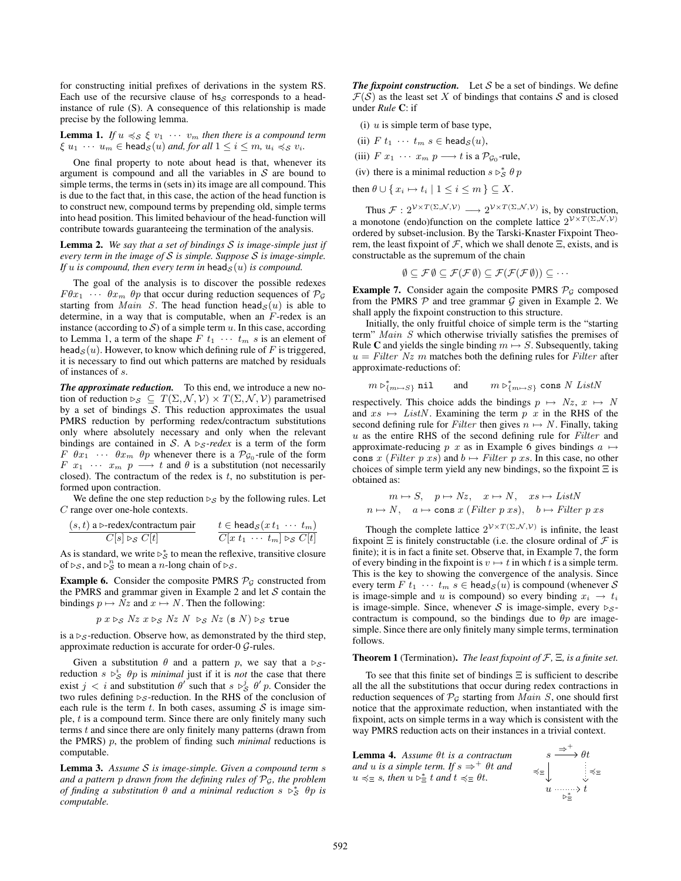for constructing initial prefixes of derivations in the system RS. Each use of the recursive clause of  $hs<sub>S</sub>$  corresponds to a headinstance of rule (S). A consequence of this relationship is made precise by the following lemma.

**Lemma 1.** *If*  $u \preccurlyeq s \xi v_1 \cdots v_m$  *then there is a compound term*  $\xi u_1 \cdots u_m \in \text{head}_{\mathcal{S}}(u)$  *and, for all*  $1 \leq i \leq m$ ,  $u_i \preccurlyeq_{\mathcal{S}} v_i$ .

One final property to note about head is that, whenever its argument is compound and all the variables in  $S$  are bound to simple terms, the terms in (sets in) its image are all compound. This is due to the fact that, in this case, the action of the head function is to construct new, compound terms by prepending old, simple terms into head position. This limited behaviour of the head-function will contribute towards guaranteeing the termination of the analysis.

**Lemma 2.** *We say that a set of bindings* S *is image-simple just if every term in the image of* S *is simple. Suppose* S *is image-simple. If*  $u$  *is compound, then every term in* head $_{\mathcal{S}}(u)$  *is compound.* 

The goal of the analysis is to discover the possible redexes  $F\theta x_1 \cdots \theta x_m \theta p$  that occur during reduction sequences of  $\mathcal{P}_{\mathcal{G}}$ starting from *Main S*. The head function head<sub>S</sub> $(u)$  is able to determine, in a way that is computable, when an  $F$ -redex is an instance (according to  $S$ ) of a simple term  $u$ . In this case, according to Lemma 1, a term of the shape  $F t_1 \cdots t_m s$  is an element of head<sub>S</sub> $(u)$ . However, to know which defining rule of F is triggered, it is necessary to find out which patterns are matched by residuals of instances of s.

*The approximate reduction.* To this end, we introduce a new notion of reduction  $\triangleright_{\mathcal{S}} \subseteq T(\Sigma, \mathcal{N}, \mathcal{V}) \times T(\Sigma, \mathcal{N}, \mathcal{V})$  parametrised by a set of bindings  $S$ . This reduction approximates the usual PMRS reduction by performing redex/contractum substitutions only where absolutely necessary and only when the relevant bindings are contained in S. A  $\triangleright$ <sub>S</sub>-redex is a term of the form  $F \theta x_1 \cdots \theta x_m \theta p$  whenever there is a  $\mathcal{P}_{\mathcal{G}_0}$ -rule of the form  $F \ x_1 \ \cdots \ x_m \ p \longrightarrow t$  and  $\theta$  is a substitution (not necessarily closed). The contractum of the redex is  $t$ , no substitution is performed upon contraction.

We define the one step reduction  $\triangleright_S$  by the following rules. Let C range over one-hole contexts.

$$
\frac{(s,t) \text{ a} \rhd \text{-redex/contractum pair}}{C[s] \rhd s \ C[t]} \qquad \frac{t \in \text{head}_{\mathcal{S}}(x \ t_1 \ \cdots \ t_m)}{C[x \ t_1 \ \cdots \ t_m] \rhd s \ C[t]}
$$

As is standard, we write  $\triangleright^*_{\mathcal{S}}$  to mean the reflexive, transitive closure of  $\triangleright_S$ , and  $\triangleright_S^n$  to mean a *n*-long chain of  $\triangleright_S$ .

**Example 6.** Consider the composite PMRS  $P<sub>G</sub>$  constructed from the PMRS and grammar given in Example 2 and let  $S$  contain the bindings  $p \mapsto Nz$  and  $x \mapsto N$ . Then the following:

$$
p\ x \triangleright_{\mathcal{S}} Nz\ x \triangleright_{\mathcal{S}} Nz\ N\ \triangleright_{\mathcal{S}} Nz\ (\texttt{s}\ N) \triangleright_{\mathcal{S}} \texttt{true}
$$

 $p \ x \rhd_S Nz \ x \rhd_S Nz \ N \rhd_S Nz$  (s *N*)  $\rhd_S$  true<br>is a  $\rhd_S$ -reduction. Observe how, as demonstrated by the third step, approximate reduction is accurate for order-0 G-rules.

Given a substitution  $\theta$  and a pattern p, we say that a  $\triangleright_{\mathcal{S}}$ reduction  $s \rhd_S^i \theta_p$  is *minimal* just if it is *not* the case that there exist  $j < i$  and substitution  $\theta'$  such that  $s \triangleright_{S}^{j} \theta' p$ . Consider the two rules defining  $\triangleright_{\mathcal{S}}$ -reduction. In the RHS of the conclusion of each rule is the term t. In both cases, assuming  $S$  is image simple,  $t$  is a compound term. Since there are only finitely many such terms t and since there are only finitely many patterns (drawn from the PMRS) p, the problem of finding such *minimal* reductions is computable.

**Lemma 3.** *Assume* S *is image-simple. Given a compound term* s *and a pattern* p *drawn from the defining rules of* PG*, the problem of finding a substitution*  $\theta$  *and a minimal reduction*  $s \rhd_S^* \theta_p$  *is computable.*

**The fixpoint construction.** Let  $S$  be a set of bindings. We define  $\mathcal{F}(\mathcal{S})$  as the least set X of bindings that contains S and is closed under *Rule* **C**: if

(i)  $u$  is simple term of base type,

(ii) 
$$
F t_1 \cdots t_m s \in \text{head}_{S}(u)
$$
,

(iii) 
$$
F(x_1 \cdots x_m p \longrightarrow t \text{ is a } \mathcal{P}_{\mathcal{G}_0}\text{-rule},
$$

(iv) there is a minimal reduction  $s \rhd^*_{\mathcal{S}} \theta p$ 

then  $\theta \cup \{x_i \mapsto t_i \mid 1 \leq i \leq m\} \subseteq X$ .

Thus  $\mathcal{F}: 2^{\mathcal{V} \times T(\Sigma, \mathcal{N}, \mathcal{V})} \longrightarrow 2^{\mathcal{V} \times T(\Sigma, \mathcal{N}, \mathcal{V})}$  is, by construction, a monotone (endo)function on the complete lattice  $2^{\mathcal{V} \times T(\Sigma, \mathcal{N}, \mathcal{V})}$ ordered by subset-inclusion. By the Tarski-Knaster Fixpoint Theorem, the least fixpoint of  $\mathcal F$ , which we shall denote  $\Xi$ , exists, and is constructable as the supremum of the chain

$$
\emptyset \subseteq \mathcal{F}\emptyset \subseteq \mathcal{F}(\mathcal{F}\emptyset) \subseteq \mathcal{F}(\mathcal{F}(\mathcal{F}\emptyset)) \subseteq \cdots
$$

**Example 7.** Consider again the composite PMRS  $P<sub>G</sub>$  composed from the PMRS  $P$  and tree grammar  $G$  given in Example 2. We shall apply the fixpoint construction to this structure.

Initially, the only fruitful choice of simple term is the "starting term" *Main S* which otherwise trivially satisfies the premises of Rule **C** and yields the single binding  $m \mapsto S$ . Subsequently, taking  $u = Filter Nz$  m matches both the defining rules for *Filter* after approximate-reductions of:

$$
m \rhd_{\{m \mapsto S\}}^* \text{nil} \qquad \text{and} \qquad m \rhd_{\{m \mapsto S\}}^* \text{cons } N \text{ } ListN
$$

respectively. This choice adds the bindings  $p \mapsto Nz, x \mapsto N$ <br>and  $rs \mapsto ListN$  Examining the term  $n, r$  in the RHS of the and  $xs \mapsto ListN$ . Examining the term p x in the RHS of the second defining rule for *Filter* then gives  $n \mapsto N$ . Finally, taking <sup>u</sup> as the entire RHS of the second defining rule for *Filter* and approximate-reducing p x as in Example 6 gives bindings  $a \mapsto$ cons x (*Filter* p xs) and  $b \mapsto$  *Filter* p xs. In this case, no other choices of simple term yield any new bindings, so the fixpoint  $\Xi$  is obtained as:

$$
m \mapsto S, \quad p \mapsto Nz, \quad x \mapsto N, \quad xs \mapsto ListN
$$
  

$$
n \mapsto N, \quad a \mapsto \text{cons } x \text{ (Filter } p \text{ xs}), \quad b \mapsto Filter \text{ p xs}
$$

Though the complete lattice  $2^{\mathcal{V} \times T(\Sigma,\mathcal{N},\mathcal{V})}$  is infinite, the least fixpoint  $\Xi$  is finitely constructable (i.e. the closure ordinal of  $\mathcal F$  is finite); it is in fact a finite set. Observe that, in Example 7, the form of every binding in the fixpoint is  $v \mapsto t$  in which t is a simple term. This is the key to showing the convergence of the analysis. Since every term  $F t_1 \cdots t_m s \in \text{head}_{S}(u)$  is compound (whenever  $S$ is image-simple and u is compound) so every binding  $x_i \rightarrow t_i$ is image-simple. Since, whenever S is image-simple, every  $\triangleright_{S}$ contractum is compound, so the bindings due to  $\theta p$  are imagesimple. Since there are only finitely many simple terms, termination follows.

#### **Theorem 1** (Termination)**.** *The least fixpoint of* F*,* Ξ*, is a finite set.*

To see that this finite set of bindings  $\Xi$  is sufficient to describe all the all the substitutions that occur during redex contractions in reduction sequences of  $\mathcal{P}_{\mathcal{G}}$  starting from *Main S*, one should first notice that the approximate reduction, when instantiated with the fixpoint, acts on simple terms in a way which is consistent with the way PMRS reduction acts on their instances in a trivial context.

**Lemma 4.** *Assume* θt *is a contractum and u is a simple term.* If  $s \Rightarrow^+ \theta t$  *and*  $u \preccurlyeq_{\Xi} s$ , then  $u \triangleright_{\Xi}^* t$  and  $t \preccurlyeq_{\Xi} \theta t$ .

$$
\begin{array}{ccc}\ns & \stackrel{\Rightarrow}{\longrightarrow} & \theta t \\
\preccurlyeq_{\Xi} & & \searrow & \searrow \\
u & \stackrel{\dots}{\longrightarrow} & t & \\
b & \stackrel{\succ}{\Sigma} & & \\
\end{array}
$$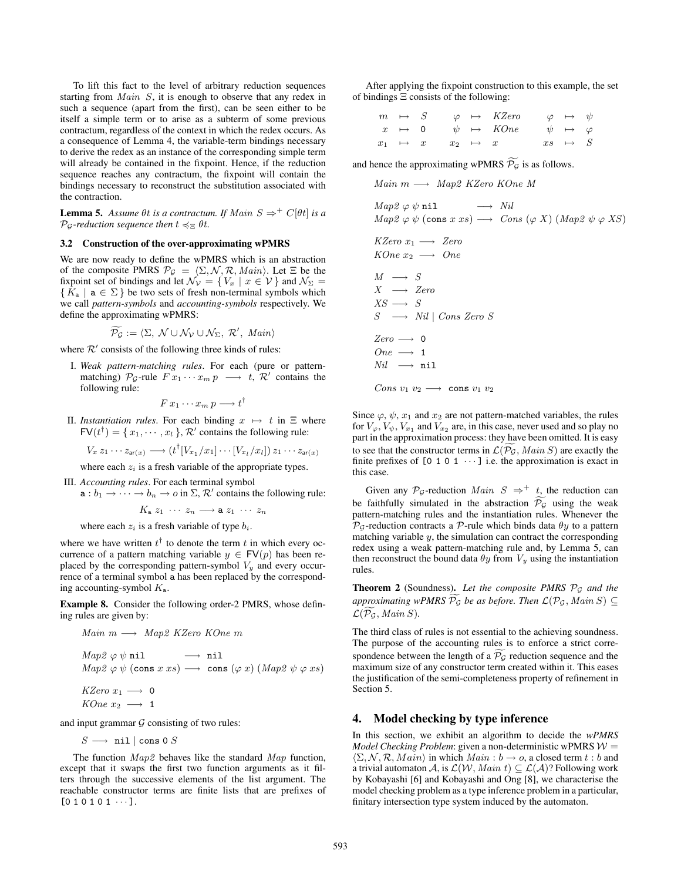To lift this fact to the level of arbitrary reduction sequences starting from *Main S*, it is enough to observe that any redex in such a sequence (apart from the first), can be seen either to be itself a simple term or to arise as a subterm of some previous contractum, regardless of the context in which the redex occurs. As a consequence of Lemma 4, the variable-term bindings necessary to derive the redex as an instance of the corresponding simple term will already be contained in the fixpoint. Hence, if the reduction sequence reaches any contractum, the fixpoint will contain the bindings necessary to reconstruct the substitution associated with the contraction.

**Lemma 5.** *Assume*  $\theta t$  *is a contractum. If Main*  $S \Rightarrow^+ C[\theta t]$  *is a*  $\mathcal{P}_{\mathcal{G}}$ *-reduction sequence then*  $t \preccurlyeq_{\Xi} \theta t$ *.* 

## **3.2 Construction of the over-approximating wPMRS**

We are now ready to define the wPMRS which is an abstraction of the composite PMRS  $P_G = \langle \Sigma, \mathcal{N}, \mathcal{R}, \text{Main} \rangle$ . Let  $\Xi$  be the fixooint set of bindings and let  $\mathcal{N}_{\Sigma} = \{ V_{\pi} | \pi \in \mathcal{V} \}$  and  $\mathcal{N}_{\Sigma} =$ fixpoint set of bindings and let  $\mathcal{N}_{\mathcal{V}} = \{ V_x \mid x \in \mathcal{V} \}$  and  $\mathcal{N}_{\Sigma} =$  ${K_{\mathbf{a}} \mid \mathbf{a} \in \Sigma}$  be two sets of fresh non-terminal symbols which we call *pattern-symbols* and *accounting-symbols* respectively. We define the approximating wPMRS:

$$
\widetilde{\mathcal{P}_{\mathcal{G}}} := \langle \Sigma, \ \mathcal{N} \cup \mathcal{N}_{\mathcal{V}} \cup \mathcal{N}_{\Sigma}, \ \mathcal{R}', \ \textit{Main} \rangle
$$

where  $\mathcal{R}'$  consists of the following three kinds of rules:

I. *Weak pattern-matching rules*. For each (pure or patternmatching)  $\mathcal{P}_{\mathcal{G}}$ -rule  $F[x_1 \cdots x_m p \longrightarrow t, \mathcal{R}'$  contains the following rule:

$$
F\,x_1\cdots x_m\,p\longrightarrow t^\dagger
$$

II. *Instantiation rules*. For each binding  $x \mapsto t$  in  $\Xi$  where  $FV(t^{\dagger}) = \{x_1, \dots, x_l\},$   $\mathcal{R}'$  contains the following rule:

$$
V_x z_1 \cdots z_{\mathsf{ar}(x)} \longrightarrow (t^{\dagger} [V_{x_1}/x_1] \cdots [V_{x_l}/x_l]) z_1 \cdots z_{\mathsf{ar}(x)}
$$

where each  $z_i$  is a fresh variable of the appropriate types.

- III. *Accounting rules*. For each terminal symbol
	- $a: b_1 \to \cdots \to b_n \to o$  in  $\Sigma$ ,  $\mathcal{R}'$  contains the following rule:

 $K_a z_1 \cdots z_n \longrightarrow a z_1 \cdots z_n$ 

where each  $z_i$  is a fresh variable of type  $b_i$ .

where we have written  $t^{\dagger}$  to denote the term t in which every occurrence of a pattern matching variable  $y \in FV(p)$  has been replaced by the corresponding pattern-symbol  $V_y$  and every occurrence of a terminal symbol a has been replaced by the corresponding accounting-symbol  $K_a$ .

**Example 8.** Consider the following order-2 PMRS, whose defining rules are given by:

Main 
$$
m \longrightarrow Map2
$$
 KZero KOne  $m$   
\nMap2  $\varphi \psi$  nil  $\longrightarrow$  nil  
\nMap2  $\varphi \psi$  (cons  $x \, xs$ )  $\longrightarrow$  cons ( $\varphi \, x$ ) (Map2  $\psi \, \varphi \, xs$ )  
\nKZero  $x_1 \longrightarrow 0$   
\nKOne  $x_2 \longrightarrow 1$ 

and input grammar  $G$  consisting of two rules:

 $S \longrightarrow$ nil | cons 0  $S$ 

The function *Map2* behaves like the standard *Map* function, except that it swaps the first two function arguments as it filters through the successive elements of the list argument. The reachable constructor terms are finite lists that are prefixes of  $[0 1 0 1 0 1 \cdots].$ 

After applying the fixpoint construction to this example, the set of bindings Ξ consists of the following:

| $m \rightarrow S$ |                                             | $\varphi \mapsto KZero \qquad \varphi \mapsto \psi$              |                    |  |
|-------------------|---------------------------------------------|------------------------------------------------------------------|--------------------|--|
|                   |                                             | $x \mapsto 0 \quad \psi \mapsto KOne \quad \psi \mapsto \varphi$ |                    |  |
|                   | $x_1 \rightarrow x \quad x_2 \rightarrow x$ |                                                                  | $xs \rightarrow S$ |  |
|                   |                                             |                                                                  |                    |  |

and hence the approximating wPMRS  $P_{\mathcal{G}}$  is as follows.

*Main* <sup>m</sup> −→ *Map2 KZero KOne M*

$$
Map2 \varphi \psi \text{nil} \longrightarrow Nil
$$
  

$$
Map2 \varphi \psi \text{ (cons } x \text{ } xs) \longrightarrow Cons (\varphi X) \text{ (Map2 } \psi \varphi \text{ } XS)
$$

$$
KZero\ x_1 \longrightarrow ZeroKOne\ x_2 \longrightarrow One
$$

 $M \rightarrow S$  $X \rightarrow Zero$  $XS \longrightarrow S$ *S* −→ *Nil* <sup>|</sup> *Cons Zero S*  $Zero \longrightarrow 0$  $One \longrightarrow 1$  $Nil \longrightarrow$ nil  $Cons\ v_1\ v_2 \longrightarrow \ \texttt{cons}\ v_1\ v_2$ 

Since  $\varphi$ ,  $\psi$ ,  $x_1$  and  $x_2$  are not pattern-matched variables, the rules for  $V_\varphi$ ,  $V_\psi$ ,  $V_{x_1}$  and  $V_{x_2}$  are, in this case, never used and so play no part in the approximation process: they have been omitted. It is easy to see that the constructor terms in  $\mathcal{L}(P_g, Main S)$  are exactly the finite prefixes of  $[0, 1, 0, 1, \dots]$  i.e. the approximation is exact in finite prefixes of  $[0 1 0 1 \cdots]$  i.e. the approximation is exact in this case.

Given any  $\mathcal{P}_{\mathcal{G}}$ -reduction *Main*  $S \Rightarrow^+ t$ , the reduction can be faithfully simulated in the abstraction  $\mathcal{P}_{\mathcal{G}}$  using the weak pattern-matching rules and the instantiation rules. Whenever the  $\mathcal{P}_G$ -reduction contracts a  $\mathcal{P}$ -rule which binds data  $\theta$ y to a pattern matching variable  $y$ , the simulation can contract the corresponding redex using a weak pattern-matching rule and, by Lemma 5, can then reconstruct the bound data  $\theta y$  from  $V_y$  using the instantiation rules.

**Theorem 2** (Soundness). Let the composite PMRS  $\mathcal{P}_{\mathcal{G}}$  and the  $approximating wPMRS \, \mathcal{P}_\mathcal{G}$  *be as before. Then*  $\mathcal{L}(\mathcal{P}_\mathcal{G}, \textit{Main} \, S) \subseteq \mathcal{L}(\widetilde{\mathcal{D}} \times \textit{Main} \, S)$  $\mathcal{L}(\mathcal{P}_{\mathcal{G}}, \text{Main } S)$ .

The third class of rules is not essential to the achieving soundness. The purpose of the accounting rules is to enforce a strict correspondence between the length of a  $\mathcal{P}_{\mathcal{G}}$  reduction sequence and the maximum size of any constructor term created within it. This eases the justification of the semi-completeness property of refinement in Section 5.

## **4. Model checking by type inference**

In this section, we exhibit an algorithm to decide the *wPMRS Model Checking Problem*: given a non-deterministic wPMRS  $W =$  $\langle \Sigma, \mathcal{N}, \mathcal{R}, \mathit{Main} \rangle$  in which  $\mathit{Main}: b \rightarrow o$ , a closed term  $t : b$  and a trivial automaton  $\mathcal{A}$  is  $\mathcal{L}(\mathcal{W}, \mathit{Main}) \subset \mathcal{L}(\mathcal{A})$ ? Following work a trivial automaton A, is  $\mathcal{L}(\mathcal{W}, \text{Main } t) \subseteq \mathcal{L}(\mathcal{A})$ ? Following work by Kobayashi [6] and Kobayashi and Ong [8], we characterise the model checking problem as a type inference problem in a particular, finitary intersection type system induced by the automaton.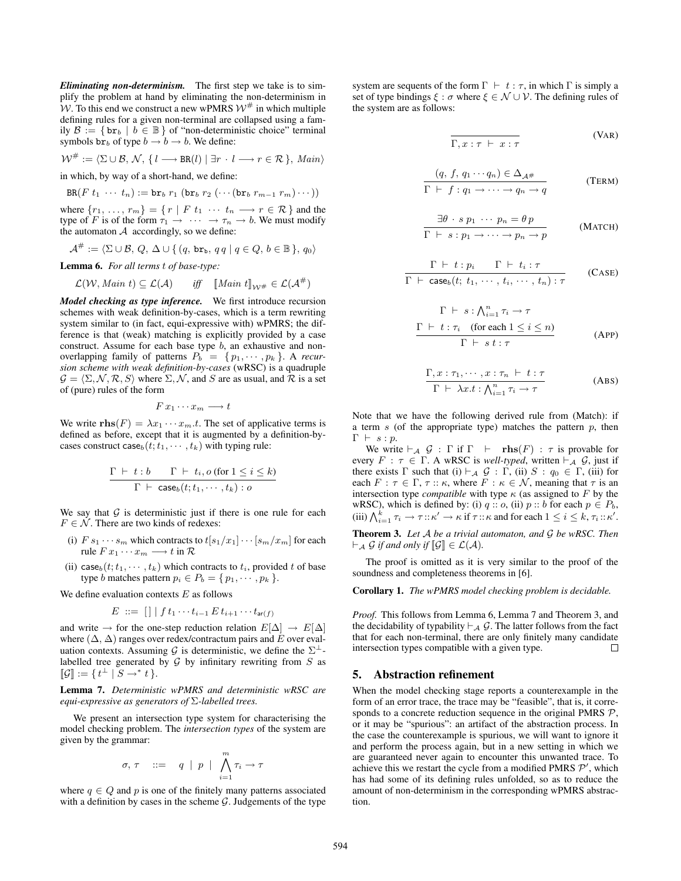*Eliminating non-determinism.* The first step we take is to simplify the problem at hand by eliminating the non-determinism in W. To this end we construct a new wPMRS  $W^{\#}$  in which multiple defining rules for a given non-terminal are collapsed using a family  $\mathcal{B} := \{ \mathbf{br}_b \mid b \in \mathbb{B} \}$  of "non-deterministic choice" terminal symbols  $br_b$  of type  $b \rightarrow b \rightarrow b$ . We define:

$$
\mathcal{W}^{\#} := \langle \Sigma \cup \mathcal{B}, \mathcal{N}, \{ l \longrightarrow BR(l) \mid \exists r \cdot l \longrightarrow r \in \mathcal{R} \}, \, \text{Main} \rangle
$$

in which, by way of a short-hand, we define:

$$
BR(F t_1 \cdots t_n) := br_b r_1 (br_b r_2 ( \cdots (br_b r_{m-1} r_m) \cdots ) )
$$

where  $\{r_1, \ldots, r_m\} = \{r \mid F \ t_1 \ \cdots \ t_n \longrightarrow r \in \mathcal{R}\}$  and the type of F is of the form  $\tau_1 \rightarrow \cdots \rightarrow \tau_n \rightarrow b$ . We must modify the automaton  $A$  accordingly, so we define:

$$
\mathcal{A}^{\#}:=\langle \Sigma \cup \mathcal{B},\, Q,\, \Delta \cup \{\, (q,\, \mathtt{br}_{\mathtt{b}},\, q\, q \mid q \in Q,\, b \in \mathbb{B} \,\},\, q_0 \rangle
$$

**Lemma 6.** *For all terms* t *of base-type:*

$$
\mathcal{L}(\mathcal{W}, \text{Main } t) \subseteq \mathcal{L}(\mathcal{A})
$$
 iff  $\llbracket \text{Main } t \rrbracket_{\mathcal{W}^{\#}} \in \mathcal{L}(\mathcal{A}^{\#})$ 

*Model checking as type inference.* We first introduce recursion schemes with weak definition-by-cases, which is a term rewriting system similar to (in fact, equi-expressive with) wPMRS; the difference is that (weak) matching is explicitly provided by a case construct. Assume for each base type  $b$ , an exhaustive and nonoverlapping family of patterns  $P_b = \{p_1, \dots, p_k\}$ . A *recursion scheme with weak definition-by-cases* (wRSC) is a quadruple  $\mathcal{G} = \langle \Sigma, \mathcal{N}, \mathcal{R}, S \rangle$  where  $\Sigma, \mathcal{N}$ , and S are as usual, and R is a set of (pure) rules of the form

$$
F\,x_1\cdots x_m\longrightarrow t
$$

We write **rhs** $(F) = \lambda x_1 \cdots x_m.t$ . The set of applicative terms is defined as before, except that it is augmented by a definition-bycases construct case<sub>b</sub>( $t$ ;  $t_1, \dots, t_k$ ) with typing rule:

$$
\frac{\Gamma \ \vdash \ t : b \qquad \Gamma \ \vdash \ t_i, o \text{ (for } 1 \leq i \leq k)}{\Gamma \ \vdash \ \text{case}_b(t; t_1, \cdots, t_k) : o}
$$

We say that  $G$  is deterministic just if there is one rule for each  $F \in \mathcal{N}$ . There are two kinds of redexes:

- (i)  $F s_1 \cdots s_m$  which contracts to  $t[s_1/x_1] \cdots [s_m/x_m]$  for each rule  $F x_1 \cdots x_m \longrightarrow t$  in  $\mathcal{R}$
- (ii) case $b(t; t_1, \dots, t_k)$  which contracts to  $t_i$ , provided t of base type *b* matches pattern  $p_i \in P_b = \{p_1, \dots, p_k\}.$

We define evaluation contexts  $E$  as follows

$$
E \ ::= \ [\ ] \ | \ f \ t_1 \cdots t_{i-1} \ E \ t_{i+1} \cdots t_{\mathsf{ar}(f)}
$$

and write  $\rightarrow$  for the one-step reduction relation  $E[\Delta] \rightarrow E[\Delta]$ where  $(\Delta, \Delta)$  ranges over redex/contractum pairs and E over evaluation contexts. Assuming G is deterministic, we define the  $\Sigma^{\perp}$ labelled tree generated by  $G$  by infinitary rewriting from  $S$  as  $\llbracket \mathcal{G} \rrbracket := \{ t^{\perp} \mid S \rightarrow^* t \}.$ 

**Lemma 7.** *Deterministic wPMRS and deterministic wRSC are equi-expressive as generators of* Σ*-labelled trees.*

We present an intersection type system for characterising the model checking problem. The *intersection types* of the system are given by the grammar:

$$
\sigma,\,\tau\quad::=\quad q\;\mid\;p\;\mid\;\bigwedge_{i=1}^m\tau_i\to\tau
$$

where  $q \in Q$  and p is one of the finitely many patterns associated with a definition by cases in the scheme  $G$ . Judgements of the type

system are sequents of the form  $\Gamma \vdash t : \tau$ , in which  $\Gamma$  is simply a set of type bindings  $\xi : \sigma$  where  $\xi \in \mathcal{N} \cup \mathcal{V}$ . The defining rules of the system are as follows:

$$
\overline{\Gamma, x : \tau \vdash x : \tau}
$$
 (VAR)

$$
\frac{(q, f, q_1 \cdots q_n) \in \Delta_{\mathcal{A}^{\#}}}{\Gamma \vdash f : q_1 \to \cdots \to q_n \to q}
$$
 (TERM)

$$
\frac{\exists \theta \cdot s \ p_1 \ \cdots \ p_n = \theta \ p}{\Gamma \vdash s : p_1 \to \cdots \to p_n \to p} \qquad \text{(MATCH)}
$$

$$
\frac{\Gamma \vdash t : p_i \qquad \Gamma \vdash t_i : \tau}{\Gamma \vdash \text{case}_b(t; t_1, \cdots, t_i, \cdots, t_n) : \tau} \qquad \text{(CASE)}
$$

$$
\Gamma \vdash s : \bigwedge_{i=1}^{n} \tau_{i} \to \tau
$$
\n
$$
\frac{\Gamma \vdash t : \tau_{i} \quad \text{(for each } 1 \leq i \leq n)}{\Gamma \vdash s \ t : \tau}
$$
\n(APP)

$$
\frac{\Gamma, x : \tau_1, \cdots, x : \tau_n \vdash t : \tau}{\Gamma \vdash \lambda x.t : \bigwedge_{i=1}^n \tau_i \to \tau}
$$
 (ABS)

Note that we have the following derived rule from (Match): if a term  $s$  (of the appropriate type) matches the pattern  $p$ , then  $\Gamma \ \vdash \ s : p.$ 

We write  $\vdash_{\mathcal{A}} \mathcal{G} : \Gamma$  if  $\Gamma \vdash \mathbf{rhs}(F) : \tau$  is provable for every  $F : \tau \in \Gamma$ . A wRSC is *well-typed*, written  $\vdash_{\mathcal{A}} \mathcal{G}$ , just if there exists  $\Gamma$  such that (i)  $\vdash_{\mathcal{A}} \mathcal{G} : \Gamma$ , (ii)  $S : q_0 \in \Gamma$ , (iii) for each  $F : \tau \in \Gamma$ ,  $\tau :: \kappa$ , where  $F : \kappa \in \mathcal{N}$ , meaning that  $\tau$  is an intersection type *compatible* with type  $\kappa$  (as assigned to  $F$  by the wRSC), which is defined by: (i)  $q$  ::  $o$ , (ii)  $p$  ::  $b$  for each  $p \in P_b$ , (iii)  $\bigwedge_{i=1}^k \tau_i \to \tau : \kappa' \to \kappa$  if  $\tau : \kappa$  and for each  $1 \leq i \leq k, \tau_i : \kappa'.$ 

**Theorem 3.** *Let* A *be a trivial automaton, and* G *be wRSC. Then*  $\vdash_{\mathcal{A}} \mathcal{G}$  *if and only if*  $\llbracket \mathcal{G} \rrbracket \in \mathcal{L}(\mathcal{A})$ *.* 

The proof is omitted as it is very similar to the proof of the soundness and completeness theorems in [6].

**Corollary 1.** *The wPMRS model checking problem is decidable.*

*Proof.* This follows from Lemma 6, Lemma 7 and Theorem 3, and the decidability of typability  $\vdash_{\mathcal{A}} \mathcal{G}$ . The latter follows from the fact that for each non-terminal, there are only finitely many candidate intersection types compatible with a given type.  $\Box$ 

## **5. Abstraction refinement**

When the model checking stage reports a counterexample in the form of an error trace, the trace may be "feasible", that is, it corresponds to a concrete reduction sequence in the original PMRS  $P$ , or it may be "spurious": an artifact of the abstraction process. In the case the counterexample is spurious, we will want to ignore it and perform the process again, but in a new setting in which we are guaranteed never again to encounter this unwanted trace. To achieve this we restart the cycle from a modified PMRS  $\mathcal{P}'$ , which has had some of its defining rules unfolded, so as to reduce the amount of non-determinism in the corresponding wPMRS abstraction.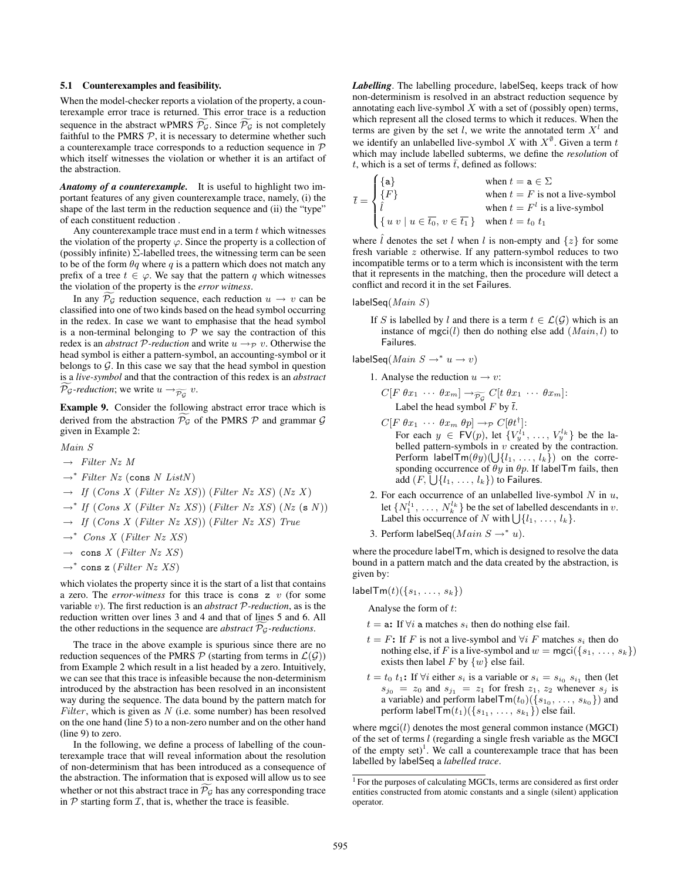## **5.1 Counterexamples and feasibility.**

When the model-checker reports a violation of the property, a counterexample error trace is returned. This error trace is a reduction sequence in the abstract wPMRS  $\mathcal{P}_{\mathcal{G}}$ . Since  $\mathcal{P}_{\mathcal{G}}$  is not completely faithful to the PMRS  $P$ , it is necessary to determine whether such a counterexample trace corresponds to a reduction sequence in P which itself witnesses the violation or whether it is an artifact of the abstraction.

*Anatomy of a counterexample.* It is useful to highlight two important features of any given counterexample trace, namely, (i) the shape of the last term in the reduction sequence and (ii) the "type" of each constituent reduction .

Any counterexample trace must end in a term  $t$  which witnesses the violation of the property  $\varphi$ . Since the property is a collection of (possibly infinite)  $\Sigma$ -labelled trees, the witnessing term can be seen to be of the form  $\theta q$  where q is a pattern which does not match any prefix of a tree  $t \in \varphi$ . We say that the pattern q which witnesses the violation of the property is the *error witness*.

In any  $\mathcal{P}_{\mathcal{G}}$  reduction sequence, each reduction  $u \to v$  can be classified into one of two kinds based on the head symbol occurring in the redex. In case we want to emphasise that the head symbol is a non-terminal belonging to  $P$  we say the contraction of this redex is an *abstract*  $P$ -reduction and write  $u \rightarrow_P v$ . Otherwise the head symbol is either a pattern-symbol, an accounting-symbol or it belongs to  $G$ . In this case we say that the head symbol in question is a *live-symbol* and that the contraction of this redex is an *abstract*  $\mathcal{P}_{\mathcal{G}}$ -reduction; we write  $u \rightarrow_{\widetilde{\mathcal{P}_{\mathcal{G}}}} v$ .

**Example 9.** Consider the following abstract error trace which is derived from the abstraction  $P_g$  of the PMRS  $P$  and grammar  $G$ given in Example 2:

 $MainS$ 

- $\rightarrow$  *Filter Nz M*
- <sup>→</sup><sup>∗</sup> *Filter Nz* (cons *N ListN* )
- $\rightarrow$  *If* (*Cons X* (*Filter Nz XS*)) (*Filter Nz XS*) (*Nz X*)
- <sup>→</sup><sup>∗</sup> *If* (*Cons X* (*Filter Nz XS*)) (*Filter Nz XS*) (*Nz* (<sup>s</sup> *N* ))
- <sup>→</sup> *If* (*Cons X* (*Filter Nz XS*)) (*Filter Nz XS*) *True*
- <sup>→</sup><sup>∗</sup> *Cons X* (*Filter Nz XS*)
- $\rightarrow$  cons *X* (*Filter Nz XS*)
- <sup>→</sup><sup>∗</sup> cons z (*Filter Nz XS*)

which violates the property since it is the start of a list that contains a zero. The *error-witness* for this trace is cons z v (for some variable v). The first reduction is an *abstract* P*-reduction*, as is the reduction written over lines 3 and 4 and that of lines 5 and 6. All the other reductions in the sequence are *abstract*  $P_g$ -reductions.

The trace in the above example is spurious since there are no reduction sequences of the PMRS  $P$  (starting from terms in  $\mathcal{L}(\mathcal{G})$ ) from Example 2 which result in a list headed by a zero. Intuitively, we can see that this trace is infeasible because the non-determinism introduced by the abstraction has been resolved in an inconsistent way during the sequence. The data bound by the pattern match for *Filter*, which is given as *N* (i.e. some number) has been resolved on the one hand (line 5) to a non-zero number and on the other hand (line 9) to zero.

In the following, we define a process of labelling of the counterexample trace that will reveal information about the resolution of non-determinism that has been introduced as a consequence of the abstraction. The information that is exposed will allow us to see whether or not this abstract trace in  $\mathcal{P}_{\mathcal{G}}$  has any corresponding trace in  $P$  starting form  $I$ , that is, whether the trace is feasible.

*Labelling*. The labelling procedure, labelSeq, keeps track of how non-determinism is resolved in an abstract reduction sequence by annotating each live-symbol  $X$  with a set of (possibly open) terms, which represent all the closed terms to which it reduces. When the terms are given by the set l, we write the annotated term  $X<sup>l</sup>$  and we identify an unlabelled live-symbol X with  $X^{\emptyset}$ . Given a term t which may include labelled subterms, we define the *resolution* of t, which is a set of terms  $\bar{t}$ , defined as follows:

$$
\bar{t} = \begin{cases} \{\mathbf{a}\} & \text{when } t = \mathbf{a} \in \Sigma \\ \{F\} & \text{when } t = F \text{ is not a live-symbol} \\ \hat{l} & \text{when } t = F^l \text{ is a live-symbol} \\ \{u \ v \mid u \in \overline{t_0}, \ v \in \overline{t_1}\} & \text{when } t = t_0 \ t_1 \end{cases}
$$

where  $\hat{l}$  denotes the set  $\hat{l}$  when  $\hat{l}$  is non-empty and  $\{z\}$  for some fresh variable z otherwise. If any pattern-symbol reduces to two incompatible terms or to a term which is inconsistent with the term that it represents in the matching, then the procedure will detect a conflict and record it in the set Failures.

labelSeq(*Main S*)

If S is labelled by l and there is a term  $t \in \mathcal{L}(\mathcal{G})$  which is an instance of mgci $(l)$  then do nothing else add  $(Main, l)$  to Failures.

 $labelSeq(Main S \rightarrow^* u \rightarrow v)$ 

- 1. Analyse the reduction  $u \to v$ :
	- $C[F \theta x_1 \cdots \theta x_m] \rightarrow_{\widetilde{\mathcal{P}_{G}}} C[t \theta x_1 \cdots \theta x_m]$ :<br>Label the head symbol F by  $\overline{t}$ .
	- $C[F \theta x_1 \cdots \theta x_m \theta p] \rightarrow_{\mathcal{P}} C[\theta t^{\dagger}].$ For each  $y \in \text{FV}(p)$ , let  $\{V_y^{l_1}, \ldots, V_y^{l_k}\}$  be the labelled pattern-symbols in  $v$  created by the contraction. Perform labelTm( $\theta y$ )( $\bigcup$ { $l_1, \ldots, l_k$ }) on the corresponding occurrence of  $\theta y$  in  $\theta p$ . If labelTm fails, then add  $(F, \bigcup \{l_1, \ldots, l_k\})$  to Failures.
- 2. For each occurrence of an unlabelled live-symbol  $N$  in  $u$ , let  $\{N_1^{l_1}, \ldots, N_k^{l_k}\}$  be the set of labelled descendants in v. Label this occurrence of N with  $\bigcup \{l_1, \ldots, l_k\}.$
- 3. Perform labelSeq(*Main*  $S \rightarrow^* u$ ).

where the procedure labelTm, which is designed to resolve the data bound in a pattern match and the data created by the abstraction, is given by:

 $labelTm(t)(\{s_1, \ldots, s_k\})$ 

Analyse the form of t:

- $t = a$ : If  $\forall i$  a matches  $s_i$  then do nothing else fail.
- $t = F$ : If F is not a live-symbol and  $\forall i$  F matches  $s_i$  then do nothing else, if F is a live-symbol and  $w = \text{mgci}(\{s_1, \ldots, s_k\})$ exists then label F by  $\{w\}$  else fail.
- $t = t_0 t_1$ : If  $\forall i$  either  $s_i$  is a variable or  $s_i = s_{i_0} s_{i_1}$  then (let  $s_{j_0} = z_0$  and  $s_{j_1} = z_1$  for fresh  $z_1, z_2$  whenever  $s_j$  is a variable) and perform label $\mathsf{Tm}(t_0)(\{s_{1_0}, \ldots, \, s_{k_0}\})$  and perform labelTm( $t_1$ )({ $s_1$ , ...,  $s_{k_1}$ }) else fail.

where  $mgci(l)$  denotes the most general common instance (MGCI) of the set of terms l (regarding a single fresh variable as the MGCI of the empty  $set$ <sup>1</sup>. We call a counterexample trace that has been labelled by labelSeq a *labelled trace*.

<sup>&</sup>lt;sup>1</sup> For the purposes of calculating MGCIs, terms are considered as first order entities constructed from atomic constants and a single (silent) application operator.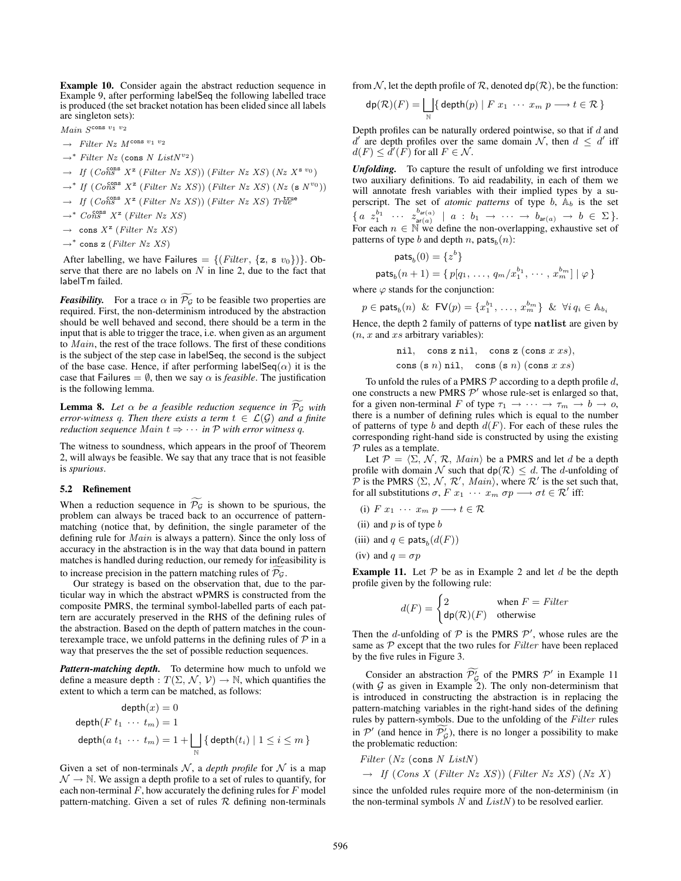**Example 10.** Consider again the abstract reduction sequence in Example 9, after performing labelSeq the following labelled trace is produced (the set bracket notation has been elided since all labels are singleton sets):

- *Main S*cons <sup>v</sup><sup>1</sup> <sup>v</sup><sup>2</sup>
- $\rightarrow$  *Filter Nz M*<sup>cons v<sub>1</sub> v<sub>2</sub></sup>
- <sup>→</sup><sup>∗</sup> *Filter Nz* (cons *N ListN*v<sup>2</sup> )
- $\rightarrow$  *If* (*Cons X*<sup>z</sup> (*Filter Nz XS*)) (*Filter Nz XS*) (*Nz X*<sup>s v<sub>0</sub></sup>)
- $\rightarrow$ <sup>\*</sup> If (*Cons*<sup>cons</sup>  $X^z$  (*Filter Nz XS*)) (*Filter Nz XS*) (*Nz* (s  $N^{v_0}$ ))
- $\rightarrow$  *If* (*Cons*  $X^z$  (*Filter Nz XS*)) (*Filter Nz XS*) *True*<sup>true</sup>
- $\rightarrow$ <sup>\*</sup> *Cons*<sup>cons</sup>  $X^z$  (*Filter Nz XS*)
- $\rightarrow$  cons  $X^z$  (*Filter Nz XS*)
- <sup>→</sup><sup>∗</sup> cons z (*Filter Nz XS*)

After labelling, we have Failures  $= \{ (Filter, \{z, s \ v_0\}) \}$ . Observe that there are no labels on  $N$  in line 2, due to the fact that labelTm failed.

*Feasibility.* For a trace  $\alpha$  in  $\mathcal{P}_{\mathcal{G}}$  to be feasible two properties are required. First, the non-determinism introduced by the abstraction should be well behaved and second, there should be a term in the input that is able to trigger the trace, i.e. when given as an argument to *Main*, the rest of the trace follows. The first of these conditions is the subject of the step case in labelSeq, the second is the subject of the base case. Hence, if after performing labelSeq( $\alpha$ ) it is the case that Failures =  $\emptyset$ , then we say  $\alpha$  is *feasible*. The justification is the following lemma.

**Lemma 8.** Let  $\alpha$  be a feasible reduction sequence in  $\mathcal{P}_\mathcal{G}$  with *error-witness q. Then there exists a term*  $t \in \mathcal{L}(\mathcal{G})$  *and a finite reduction sequence*  $Main t \Rightarrow \cdots$  *in*  $P$  *with error witness q.* 

The witness to soundness, which appears in the proof of Theorem 2, will always be feasible. We say that any trace that is not feasible is *spurious*.

#### **5.2 Refinement**

When a reduction sequence in  $\mathcal{P}_{\mathcal{G}}$  is shown to be spurious, the problem can always be traced back to an occurrence of patternmatching (notice that, by definition, the single parameter of the defining rule for *Main* is always a pattern). Since the only loss of accuracy in the abstraction is in the way that data bound in pattern matches is handled during reduction, our remedy for infeasibility is to increase precision in the pattern matching rules of  $P_g$ .

Our strategy is based on the observation that, due to the particular way in which the abstract wPMRS is constructed from the composite PMRS, the terminal symbol-labelled parts of each pattern are accurately preserved in the RHS of the defining rules of the abstraction. Based on the depth of pattern matches in the counterexample trace, we unfold patterns in the defining rules of  $P$  in a way that preserves the the set of possible reduction sequences.

*Pattern-matching depth.* To determine how much to unfold we define a measure depth :  $T(\Sigma, \mathcal{N}, \mathcal{V}) \rightarrow \mathbb{N}$ , which quantifies the extent to which a term can be matched, as follows:

$$
\begin{aligned}\n\text{depth}(x) &= 0 \\
\text{depth}(F \ t_1 \ \cdots \ t_m) &= 1 \\
\text{depth}(a \ t_1 \ \cdots \ t_m) &= 1 + \bigsqcup_{\mathbb{N}} \{\text{depth}(t_i) \mid 1 \le i \le m\} \\
\end{aligned}
$$

Given a set of non-terminals  $N$ , a *depth profile* for  $N$  is a map  $\mathcal{N} \rightarrow \mathbb{N}$ . We assign a depth profile to a set of rules to quantify, for each non-terminal  $F$ , how accurately the defining rules for  $F$  model pattern-matching. Given a set of rules  $R$  defining non-terminals from N, let the depth profile of R, denoted  $dp(R)$ , be the function:

$$
\mathsf{dp}(\mathcal{R})(F) = \bigsqcup_{\mathbb{N}} \{ \mathsf{depth}(p) \mid F \ x_1 \ \cdots \ x_m \ p \longrightarrow t \in \mathcal{R} \}
$$

Depth profiles can be naturally ordered pointwise, so that if  $d$  and  $d'$  are depth profiles over the same domain N, then  $d \leq d'$  iff  $d(F) \leq d'(F)$  for all  $F \in \mathcal{N}$ .

*Unfolding.* To capture the result of unfolding we first introduce two auxiliary definitions. To aid readability, in each of them we will annotate fresh variables with their implied types by a superscript. The set of *atomic patterns* of type  $b$ ,  $\mathbb{A}_b$  is the set  $\{a \; \; z_1^{b_1} \;\; \cdots \;\; z_{\mathsf{ar}(a)}^{b_{\mathsf{ar}(a)}} \;\; | \;\; a \; \colon \, b_1 \;\; \!\!\rightarrow \;\; \cdots \;\; \!\!\rightarrow \; b_{\mathsf{ar}(a)} \;\; \!\!\rightarrow \; b \; \in \; \Sigma \,\}.$ For each  $n \in \mathbb{N}$  we define the non-overlapping, exhaustive set of patterns of type b and depth n, pats<sub>b</sub> $(n)$ :

$$
\mathsf{pats}_b(0) = \{z^b\}
$$
  

$$
\mathsf{pats}_b(n+1) = \{p[q_1, \ldots, q_m/x_1^{b_1}, \cdots, x_m^{b_m}] \mid \varphi\}
$$

where  $\varphi$  stands for the conjunction:

 $p \in \mathsf{pats}_b(n)$  &  $\mathsf{FV}(p) = \{x_1^{b_1}, \ldots, x_m^{b_m}\}$  &  $\forall i \, q_i \in \mathbb{A}_{b_i}$ 

Hence, the depth 2 family of patterns of type **natlist** are given by  $(n, x$  and  $xs$  arbitrary variables):

$$
\verb& ni1", \thinspace cons z \thinspace \verb& ni1", \thinspace cons z \thinspace (cons x \thinspace xs),
$$

cons (s  $n)$  nil, cons (s  $n)$  (cons  $x$   $xs$ )

To unfold the rules of a PMRS  $P$  according to a depth profile  $d$ , one constructs a new PMRS  $\mathcal{P}'$  whose rule-set is enlarged so that, for a given non-terminal F of type  $\tau_1 \rightarrow \cdots \rightarrow \tau_m \rightarrow b \rightarrow o$ , there is a number of defining rules which is equal to the number of patterns of type b and depth  $d(F)$ . For each of these rules the corresponding right-hand side is constructed by using the existing  $P$  rules as a template.

Let  $P = \langle \Sigma, \mathcal{N}, \mathcal{R}, \text{Main} \rangle$  be a PMRS and let d be a depth file with domain  $\mathcal{N}$  such that  $d_p(\mathcal{R}) \leq d$ . The d-unfolding of profile with domain  $\mathcal N$  such that  $d\mathsf{p}(\mathcal R) \leq d$ . The *d*-unfolding of P is the PMRS  $\langle \Sigma, \mathcal{N}, \mathcal{R}', \text{Main} \rangle$ , where  $\mathcal{R}'$  is the set such that,<br>for all substitutions  $\sigma, F, r_1, \dots, r_m, \sigma n \longrightarrow \sigma t \in \mathcal{R}'$  iff for all substitutions  $\sigma$ ,  $F(x_1 \cdots x_m \sigma p \longrightarrow \sigma t \in \mathcal{R}'$  iff:

- (i)  $F x_1 \cdots x_m p \longrightarrow t \in \mathcal{R}$
- (ii) and  $p$  is of type  $b$

(iii) and 
$$
q \in \text{pats}_b(d(F))
$$

(iv) and  $q = \sigma p$ 

**Example 11.** Let  $P$  be as in Example 2 and let d be the depth profile given by the following rule:

$$
d(F) = \begin{cases} 2 & \text{when } F = Filter \\ \mathsf{dp}(\mathcal{R})(F) & \text{otherwise} \end{cases}
$$

Then the *d*-unfolding of  $P$  is the PMRS  $P'$ , whose rules are the same as <sup>P</sup> except that the two rules for *Filter* have been replaced by the five rules in Figure 3.

Consider an abstraction  $\mathcal{P}'_{\mathcal{G}}$  of the PMRS  $\mathcal{P}'$  in Example 11 (with  $G$  as given in Example 2). The only non-determinism that is introduced in constructing the abstraction is in replacing the pattern-matching variables in the right-hand sides of the defining rules by pattern-symbols. Due to the unfolding of the *Filter* rules in  $\mathcal{P}'$  (and hence in  $\mathcal{P}'_{\mathcal{G}}$ ), there is no longer a possibility to make the problematic reduction:

*Filter* (*Nz* (cons *N ListN* )  $\rightarrow$  *If* (*Cons X* (*Filter Nz XS*)) (*Filter Nz XS*) (*Nz X*)

since the unfolded rules require more of the non-determinism (in the non-terminal symbols *N* and *ListN* ) to be resolved earlier.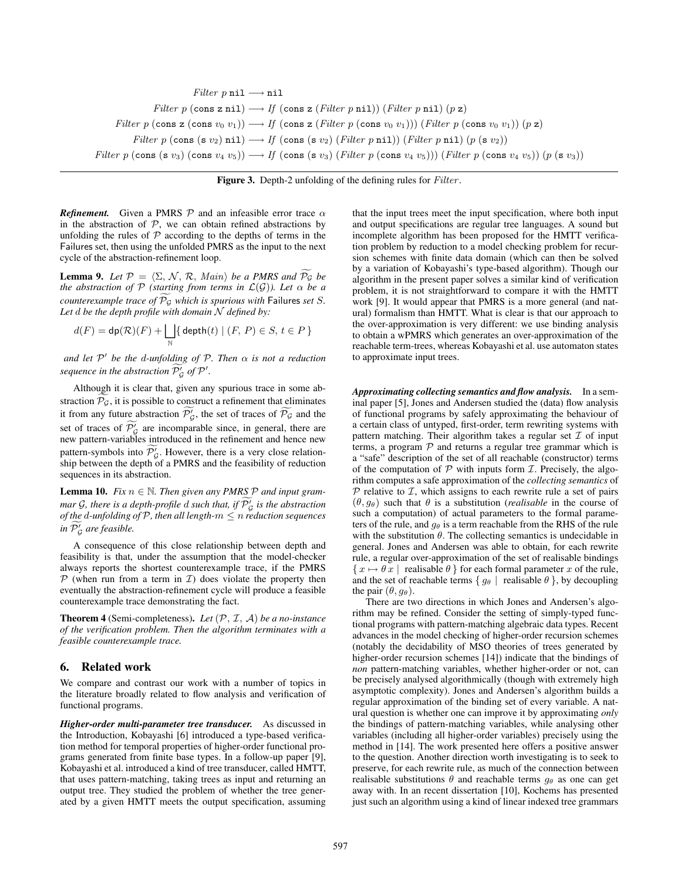*Filter*  $p$  nil  $\longrightarrow$  nil *Filter*  $p$  (cons z nil)  $\longrightarrow$  *If* (cons z (*Filter* p nil)) (*Filter* p nil) (p z) *Filter* p (cons z (cons  $v_0$   $v_1$ ))  $\rightarrow$  *If* (cons z (*Filter* p (cons  $v_0$   $v_1$ ))) (*Filter* p (cons  $v_0$   $v_1$ )) (p z) *Filter*  $p$  (cons (s  $v_2$ ) nil)  $\longrightarrow$  *If* (cons (s  $v_2$ ) (*Filter* p nil)) (*Filter* p nil) ( $p$  (s  $v_2$ )) *Filter* p (cons (s v<sub>3</sub>) (cons v<sub>4</sub> v<sub>5</sub>))  $\longrightarrow$  *If* (cons (s v<sub>3</sub>) (*Filter* p (cons v<sub>4</sub> v<sub>5</sub>))) (*Filter* p (cons v<sub>4</sub> v<sub>5</sub>)) (p (s v<sub>3</sub>))

**Figure 3.** Depth-2 unfolding of the defining rules for *Filter*.

*Refinement.* Given a PMRS  $P$  and an infeasible error trace  $\alpha$ in the abstraction of  $P$ , we can obtain refined abstractions by unfolding the rules of  $P$  according to the depths of terms in the Failures set, then using the unfolded PMRS as the input to the next cycle of the abstraction-refinement loop.

**Lemma 9.** Let  $P = \langle \Sigma, \mathcal{N}, \mathcal{R}, \text{Main} \rangle$  be a PMRS and  $P_G$  be<br>the abstraction of P (starting from terms in  $\mathcal{L}(G)$ )) Let  $\alpha$  be a *the abstraction of*  $P$  *(starting from terms in*  $\mathcal{L}(\mathcal{G})$ *). Let*  $\alpha$  *be a counterexample trace of*  $P_G$  *which is spurious with* Failures *set* S. *Let* d *be the depth profile with domain* N *defined by:*

$$
d(F) = \mathsf{dp}(\mathcal{R})(F) + \bigsqcup_{\mathbb{N}} \{\,\mathsf{depth}(t) \mid (F, P) \in S, \, t \in P\,\}
$$

*and let* P- *be the* d*-unfolding of* P*. Then* α *is not a reduction sequence in the abstraction*  $\overline{P'_{\mathcal{G}}}$  *of*  $\mathcal{P}'$ .

Although it is clear that, given any spurious trace in some abstraction  $\mathcal{P}_{\mathcal{G}}$ , it is possible to construct a refinement that eliminates it from any future abstraction  $\mathcal{P}'_{\mathcal{G}}$ , the set of traces of  $\mathcal{P}_{\mathcal{G}}$  and the set of traces of  $\mathcal{P}'_{\mathcal{G}}$  are incomparable since, in general, there are new pattern-variables introduced in the refinement and hence new pattern-symbols into  $\mathcal{P}'_{\mathcal{G}}$ . However, there is a very close relationship between the depth of a PMRS and the feasibility of reduction sequences in its abstraction.

**Lemma 10.** *Fix*  $n \in \mathbb{N}$ *. Then given any PMRS*  $P$  *and input gram*mar G, there is a depth-profile  $d$  such that, if  $\mathcal{P}'_{\mathcal{G}}$  is the abstraction *of the* d*-unfolding of* P*, then all length-*m ≤ n *reduction sequences in* P f- <sup>G</sup> *are feasible.*

A consequence of this close relationship between depth and feasibility is that, under the assumption that the model-checker always reports the shortest counterexample trace, if the PMRS  $P$  (when run from a term in  $T$ ) does violate the property then eventually the abstraction-refinement cycle will produce a feasible counterexample trace demonstrating the fact.

**Theorem 4** (Semi-completeness). Let  $(P, \mathcal{I}, \mathcal{A})$  be a no-instance *of the verification problem. Then the algorithm terminates with a feasible counterexample trace.*

## **6. Related work**

We compare and contrast our work with a number of topics in the literature broadly related to flow analysis and verification of functional programs.

*Higher-order multi-parameter tree transducer.* As discussed in the Introduction, Kobayashi [6] introduced a type-based verification method for temporal properties of higher-order functional programs generated from finite base types. In a follow-up paper [9], Kobayashi et al. introduced a kind of tree transducer, called HMTT, that uses pattern-matching, taking trees as input and returning an output tree. They studied the problem of whether the tree generated by a given HMTT meets the output specification, assuming that the input trees meet the input specification, where both input and output specifications are regular tree languages. A sound but incomplete algorithm has been proposed for the HMTT verification problem by reduction to a model checking problem for recursion schemes with finite data domain (which can then be solved by a variation of Kobayashi's type-based algorithm). Though our algorithm in the present paper solves a similar kind of verification problem, it is not straightforward to compare it with the HMTT work [9]. It would appear that PMRS is a more general (and natural) formalism than HMTT. What is clear is that our approach to the over-approximation is very different: we use binding analysis to obtain a wPMRS which generates an over-approximation of the reachable term-trees, whereas Kobayashi et al. use automaton states to approximate input trees.

*Approximating collecting semantics and flow analysis.* In a seminal paper [5], Jones and Andersen studied the (data) flow analysis of functional programs by safely approximating the behaviour of a certain class of untyped, first-order, term rewriting systems with pattern matching. Their algorithm takes a regular set  $\mathcal I$  of input terms, a program  $P$  and returns a regular tree grammar which is a "safe" description of the set of all reachable (constructor) terms of the computation of  $P$  with inputs form  $I$ . Precisely, the algorithm computes a safe approximation of the *collecting semantics* of  $P$  relative to  $I$ , which assigns to each rewrite rule a set of pairs  $(\theta, g_{\theta})$  such that  $\theta$  is a substitution (*realisable* in the course of such a computation) of actual parameters to the formal parameters of the rule, and  $g_{\theta}$  is a term reachable from the RHS of the rule with the substitution  $\theta$ . The collecting semantics is undecidable in general. Jones and Andersen was able to obtain, for each rewrite rule, a regular over-approximation of the set of realisable bindings  $\{x \mapsto \theta x \mid \text{realisable } \theta \}$  for each formal parameter x of the rule, and the set of reachable terms { $g_{\theta}$  | realisable  $\theta$  }, by decoupling the pair  $(\theta, g_{\theta})$ .

There are two directions in which Jones and Andersen's algorithm may be refined. Consider the setting of simply-typed functional programs with pattern-matching algebraic data types. Recent advances in the model checking of higher-order recursion schemes (notably the decidability of MSO theories of trees generated by higher-order recursion schemes [14]) indicate that the bindings of *non* pattern-matching variables, whether higher-order or not, can be precisely analysed algorithmically (though with extremely high asymptotic complexity). Jones and Andersen's algorithm builds a regular approximation of the binding set of every variable. A natural question is whether one can improve it by approximating *only* the bindings of pattern-matching variables, while analysing other variables (including all higher-order variables) precisely using the method in [14]. The work presented here offers a positive answer to the question. Another direction worth investigating is to seek to preserve, for each rewrite rule, as much of the connection between realisable substitutions  $\theta$  and reachable terms  $g_{\theta}$  as one can get away with. In an recent dissertation [10], Kochems has presented just such an algorithm using a kind of linear indexed tree grammars